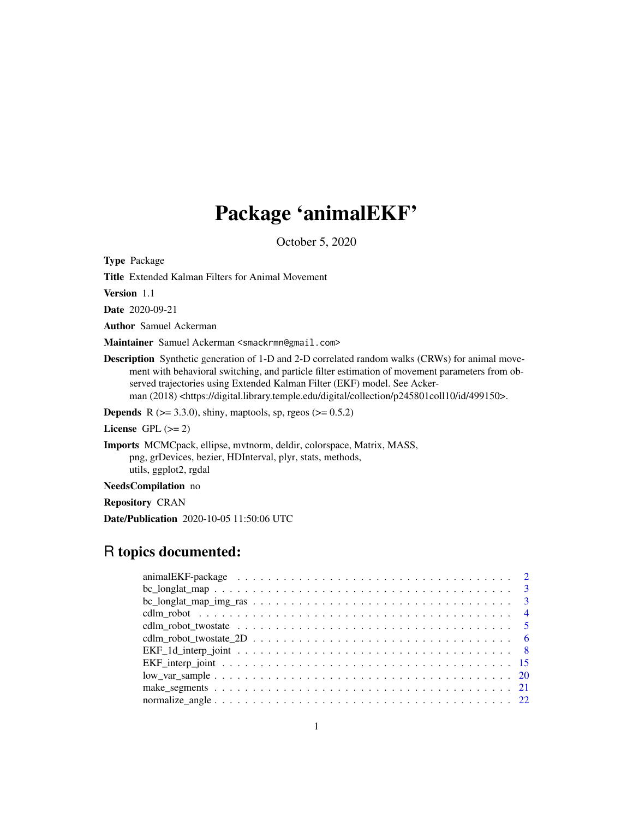# Package 'animalEKF'

October 5, 2020

<span id="page-0-0"></span>Type Package

Title Extended Kalman Filters for Animal Movement

Version 1.1

Date 2020-09-21

Author Samuel Ackerman

Maintainer Samuel Ackerman <smackrmn@gmail.com>

Description Synthetic generation of 1-D and 2-D correlated random walks (CRWs) for animal movement with behavioral switching, and particle filter estimation of movement parameters from observed trajectories using Extended Kalman Filter (EKF) model. See Ackerman (2018) <https://digital.library.temple.edu/digital/collection/p245801coll10/id/499150>.

**Depends** R ( $>= 3.3.0$ ), shiny, maptools, sp, rgeos ( $>= 0.5.2$ )

License GPL  $(>= 2)$ 

Imports MCMCpack, ellipse, mvtnorm, deldir, colorspace, Matrix, MASS, png, grDevices, bezier, HDInterval, plyr, stats, methods, utils, ggplot2, rgdal

NeedsCompilation no

Repository CRAN

Date/Publication 2020-10-05 11:50:06 UTC

# R topics documented:

| $bc\_{longlat\_{map\_img\_ras} \ldots \ldots \ldots \ldots \ldots \ldots \ldots \ldots \ldots \ldots 3}$ |
|----------------------------------------------------------------------------------------------------------|
|                                                                                                          |
|                                                                                                          |
|                                                                                                          |
|                                                                                                          |
|                                                                                                          |
|                                                                                                          |
|                                                                                                          |
|                                                                                                          |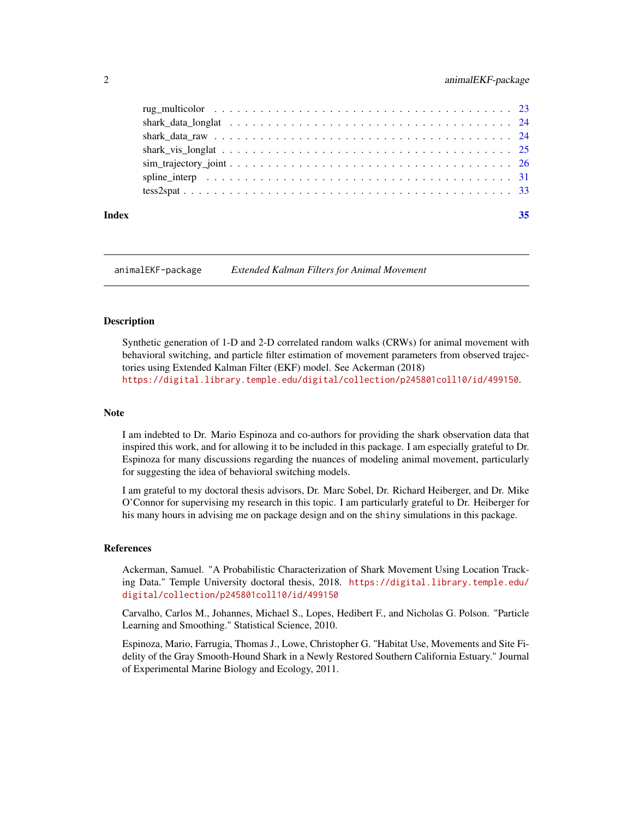<span id="page-1-0"></span>

#### **Index** [35](#page-34-0)

animalEKF-package *Extended Kalman Filters for Animal Movement*

## Description

Synthetic generation of 1-D and 2-D correlated random walks (CRWs) for animal movement with behavioral switching, and particle filter estimation of movement parameters from observed trajectories using Extended Kalman Filter (EKF) model. See Ackerman (2018) <https://digital.library.temple.edu/digital/collection/p245801coll10/id/499150>.

## **Note**

I am indebted to Dr. Mario Espinoza and co-authors for providing the shark observation data that inspired this work, and for allowing it to be included in this package. I am especially grateful to Dr. Espinoza for many discussions regarding the nuances of modeling animal movement, particularly for suggesting the idea of behavioral switching models.

I am grateful to my doctoral thesis advisors, Dr. Marc Sobel, Dr. Richard Heiberger, and Dr. Mike O'Connor for supervising my research in this topic. I am particularly grateful to Dr. Heiberger for his many hours in advising me on package design and on the shiny simulations in this package.

#### References

Ackerman, Samuel. "A Probabilistic Characterization of Shark Movement Using Location Tracking Data." Temple University doctoral thesis, 2018. [https://digital.library.temple.edu/](https://digital.library.temple.edu/digital/collection/p245801coll10/id/499150) [digital/collection/p245801coll10/id/499150](https://digital.library.temple.edu/digital/collection/p245801coll10/id/499150)

Carvalho, Carlos M., Johannes, Michael S., Lopes, Hedibert F., and Nicholas G. Polson. "Particle Learning and Smoothing." Statistical Science, 2010.

Espinoza, Mario, Farrugia, Thomas J., Lowe, Christopher G. "Habitat Use, Movements and Site Fidelity of the Gray Smooth-Hound Shark in a Newly Restored Southern California Estuary." Journal of Experimental Marine Biology and Ecology, 2011.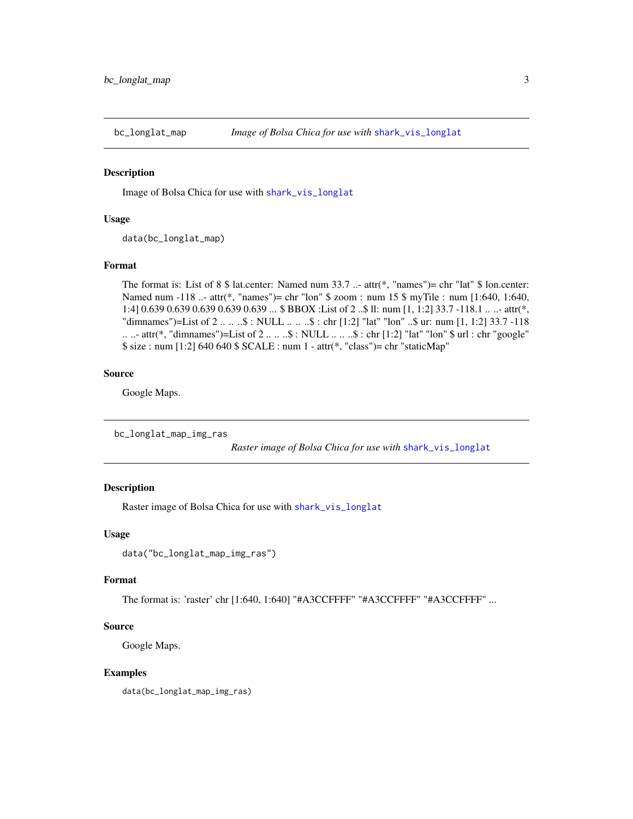<span id="page-2-0"></span>

#### Description

Image of Bolsa Chica for use with [shark\\_vis\\_longlat](#page-24-1)

#### Usage

data(bc\_longlat\_map)

#### Format

The format is: List of 8 \$ lat.center: Named num 33.7 ..- attr(\*, "names")= chr "lat" \$ lon.center: Named num  $-118$  ... attr(\*, "names")= chr "lon" \$ zoom : num 15 \$ myTile : num [1:640, 1:640, 1:4] 0.639 0.639 0.639 0.639 0.639 ... \$ BBOX :List of 2 ..\$ ll: num [1, 1:2] 33.7 -118.1 .. ..- attr(\*, "dimnames")=List of 2 .. .. ..\$ : NULL .. .. ..\$ : chr [1:2] "lat" "lon" ..\$ ur: num [1, 1:2] 33.7 -118 .. ..- attr(\*, "dimnames")=List of 2 .. .. ..\$ : NULL .. .. ..\$ : chr [1:2] "lat" "lon" \$ url : chr "google" \$ size : num [1:2] 640 640 \$ SCALE : num 1 - attr(\*, "class")= chr "staticMap"

## Source

Google Maps.

bc\_longlat\_map\_img\_ras

*Raster image of Bolsa Chica for use with* [shark\\_vis\\_longlat](#page-24-1)

## Description

Raster image of Bolsa Chica for use with [shark\\_vis\\_longlat](#page-24-1)

## Usage

```
data("bc_longlat_map_img_ras")
```
## Format

The format is: 'raster' chr [1:640, 1:640] "#A3CCFFFF" "#A3CCFFFF" "#A3CCFFFF" ...

#### Source

Google Maps.

#### Examples

data(bc\_longlat\_map\_img\_ras)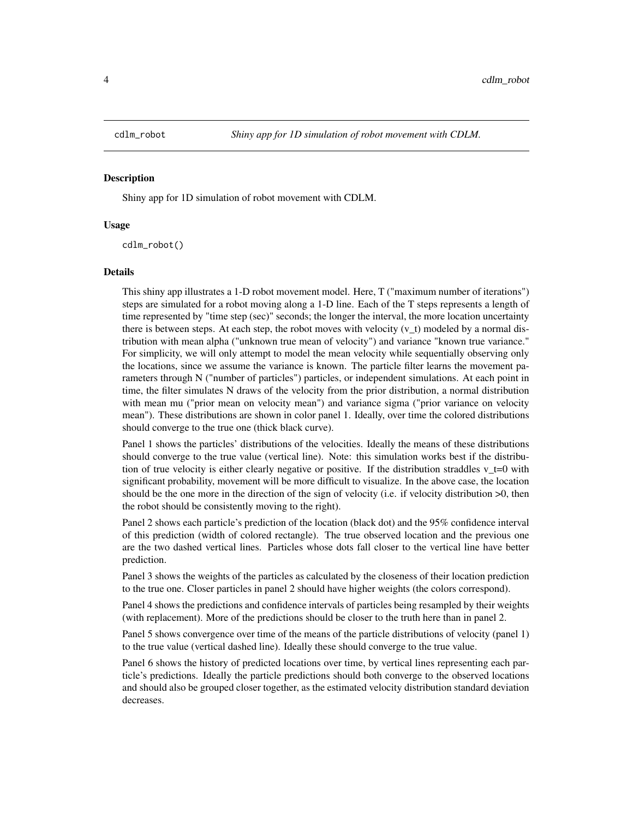<span id="page-3-0"></span>

#### Description

Shiny app for 1D simulation of robot movement with CDLM.

#### Usage

cdlm\_robot()

#### Details

This shiny app illustrates a 1-D robot movement model. Here, T ("maximum number of iterations") steps are simulated for a robot moving along a 1-D line. Each of the T steps represents a length of time represented by "time step (sec)" seconds; the longer the interval, the more location uncertainty there is between steps. At each step, the robot moves with velocity  $(v_t)$  modeled by a normal distribution with mean alpha ("unknown true mean of velocity") and variance "known true variance." For simplicity, we will only attempt to model the mean velocity while sequentially observing only the locations, since we assume the variance is known. The particle filter learns the movement parameters through N ("number of particles") particles, or independent simulations. At each point in time, the filter simulates N draws of the velocity from the prior distribution, a normal distribution with mean mu ("prior mean on velocity mean") and variance sigma ("prior variance on velocity mean"). These distributions are shown in color panel 1. Ideally, over time the colored distributions should converge to the true one (thick black curve).

Panel 1 shows the particles' distributions of the velocities. Ideally the means of these distributions should converge to the true value (vertical line). Note: this simulation works best if the distribution of true velocity is either clearly negative or positive. If the distribution straddles v  $t=0$  with significant probability, movement will be more difficult to visualize. In the above case, the location should be the one more in the direction of the sign of velocity (i.e. if velocity distribution >0, then the robot should be consistently moving to the right).

Panel 2 shows each particle's prediction of the location (black dot) and the 95% confidence interval of this prediction (width of colored rectangle). The true observed location and the previous one are the two dashed vertical lines. Particles whose dots fall closer to the vertical line have better prediction.

Panel 3 shows the weights of the particles as calculated by the closeness of their location prediction to the true one. Closer particles in panel 2 should have higher weights (the colors correspond).

Panel 4 shows the predictions and confidence intervals of particles being resampled by their weights (with replacement). More of the predictions should be closer to the truth here than in panel 2.

Panel 5 shows convergence over time of the means of the particle distributions of velocity (panel 1) to the true value (vertical dashed line). Ideally these should converge to the true value.

Panel 6 shows the history of predicted locations over time, by vertical lines representing each particle's predictions. Ideally the particle predictions should both converge to the observed locations and should also be grouped closer together, as the estimated velocity distribution standard deviation decreases.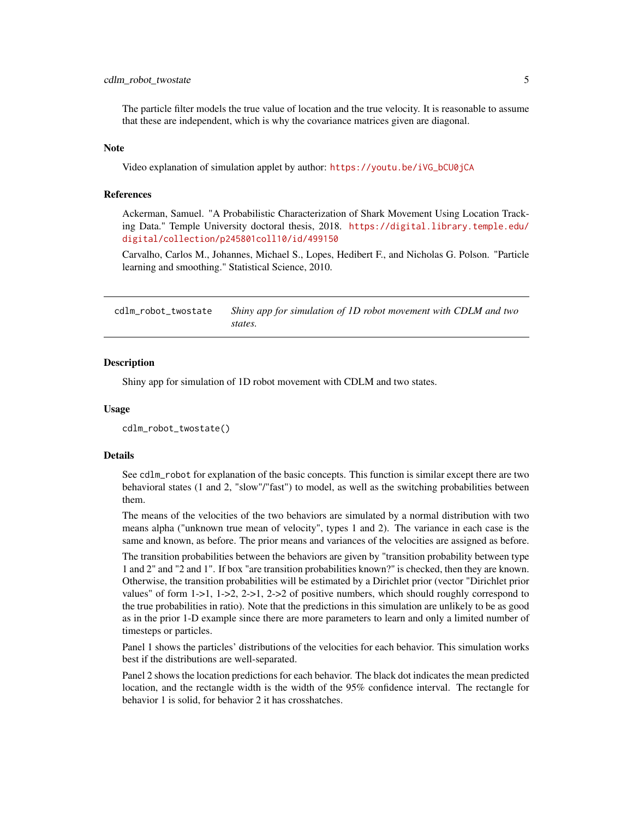## <span id="page-4-0"></span>cdlm\_robot\_twostate 5

The particle filter models the true value of location and the true velocity. It is reasonable to assume that these are independent, which is why the covariance matrices given are diagonal.

#### **Note**

Video explanation of simulation applet by author: [https://youtu.be/iVG\\_bCU0jCA](https://youtu.be/iVG_bCU0jCA)

## References

Ackerman, Samuel. "A Probabilistic Characterization of Shark Movement Using Location Tracking Data." Temple University doctoral thesis, 2018. [https://digital.library.temple.edu/](https://digital.library.temple.edu/digital/collection/p245801coll10/id/499150) [digital/collection/p245801coll10/id/499150](https://digital.library.temple.edu/digital/collection/p245801coll10/id/499150)

Carvalho, Carlos M., Johannes, Michael S., Lopes, Hedibert F., and Nicholas G. Polson. "Particle learning and smoothing." Statistical Science, 2010.

cdlm\_robot\_twostate *Shiny app for simulation of 1D robot movement with CDLM and two states.*

#### **Description**

Shiny app for simulation of 1D robot movement with CDLM and two states.

### Usage

```
cdlm_robot_twostate()
```
#### Details

See cdlm\_robot for explanation of the basic concepts. This function is similar except there are two behavioral states (1 and 2, "slow"/"fast") to model, as well as the switching probabilities between them.

The means of the velocities of the two behaviors are simulated by a normal distribution with two means alpha ("unknown true mean of velocity", types 1 and 2). The variance in each case is the same and known, as before. The prior means and variances of the velocities are assigned as before.

The transition probabilities between the behaviors are given by "transition probability between type 1 and 2" and "2 and 1". If box "are transition probabilities known?" is checked, then they are known. Otherwise, the transition probabilities will be estimated by a Dirichlet prior (vector "Dirichlet prior values" of form  $1-1$ ,  $1-2$ ,  $2-1$ ,  $2-2$  of positive numbers, which should roughly correspond to the true probabilities in ratio). Note that the predictions in this simulation are unlikely to be as good as in the prior 1-D example since there are more parameters to learn and only a limited number of timesteps or particles.

Panel 1 shows the particles' distributions of the velocities for each behavior. This simulation works best if the distributions are well-separated.

Panel 2 shows the location predictions for each behavior. The black dot indicates the mean predicted location, and the rectangle width is the width of the 95% confidence interval. The rectangle for behavior 1 is solid, for behavior 2 it has crosshatches.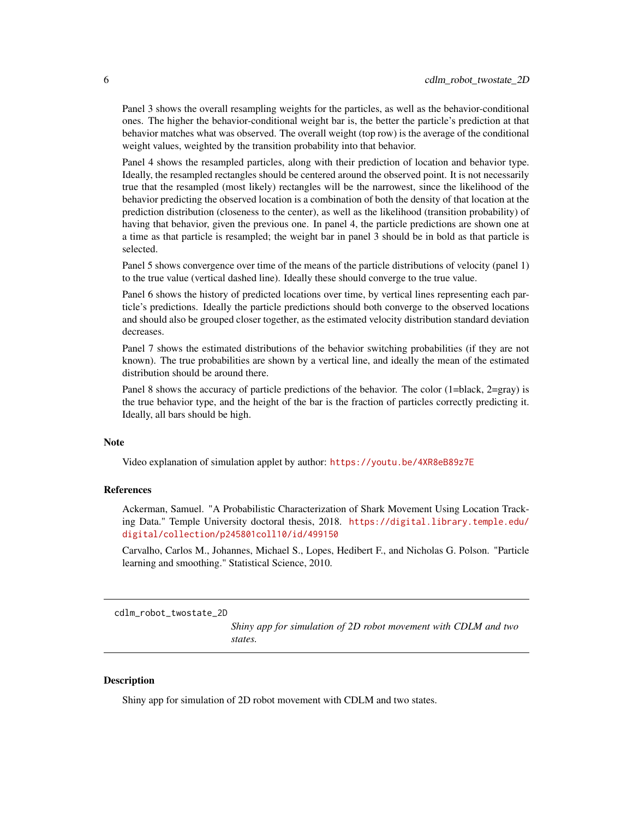<span id="page-5-0"></span>Panel 3 shows the overall resampling weights for the particles, as well as the behavior-conditional ones. The higher the behavior-conditional weight bar is, the better the particle's prediction at that behavior matches what was observed. The overall weight (top row) is the average of the conditional weight values, weighted by the transition probability into that behavior.

Panel 4 shows the resampled particles, along with their prediction of location and behavior type. Ideally, the resampled rectangles should be centered around the observed point. It is not necessarily true that the resampled (most likely) rectangles will be the narrowest, since the likelihood of the behavior predicting the observed location is a combination of both the density of that location at the prediction distribution (closeness to the center), as well as the likelihood (transition probability) of having that behavior, given the previous one. In panel 4, the particle predictions are shown one at a time as that particle is resampled; the weight bar in panel 3 should be in bold as that particle is selected.

Panel 5 shows convergence over time of the means of the particle distributions of velocity (panel 1) to the true value (vertical dashed line). Ideally these should converge to the true value.

Panel 6 shows the history of predicted locations over time, by vertical lines representing each particle's predictions. Ideally the particle predictions should both converge to the observed locations and should also be grouped closer together, as the estimated velocity distribution standard deviation decreases.

Panel 7 shows the estimated distributions of the behavior switching probabilities (if they are not known). The true probabilities are shown by a vertical line, and ideally the mean of the estimated distribution should be around there.

Panel 8 shows the accuracy of particle predictions of the behavior. The color (1=black, 2=gray) is the true behavior type, and the height of the bar is the fraction of particles correctly predicting it. Ideally, all bars should be high.

## **Note**

Video explanation of simulation applet by author: <https://youtu.be/4XR8eB89z7E>

## References

Ackerman, Samuel. "A Probabilistic Characterization of Shark Movement Using Location Tracking Data." Temple University doctoral thesis, 2018. [https://digital.library.temple.edu/](https://digital.library.temple.edu/digital/collection/p245801coll10/id/499150) [digital/collection/p245801coll10/id/499150](https://digital.library.temple.edu/digital/collection/p245801coll10/id/499150)

Carvalho, Carlos M., Johannes, Michael S., Lopes, Hedibert F., and Nicholas G. Polson. "Particle learning and smoothing." Statistical Science, 2010.

cdlm\_robot\_twostate\_2D

*Shiny app for simulation of 2D robot movement with CDLM and two states.*

## **Description**

Shiny app for simulation of 2D robot movement with CDLM and two states.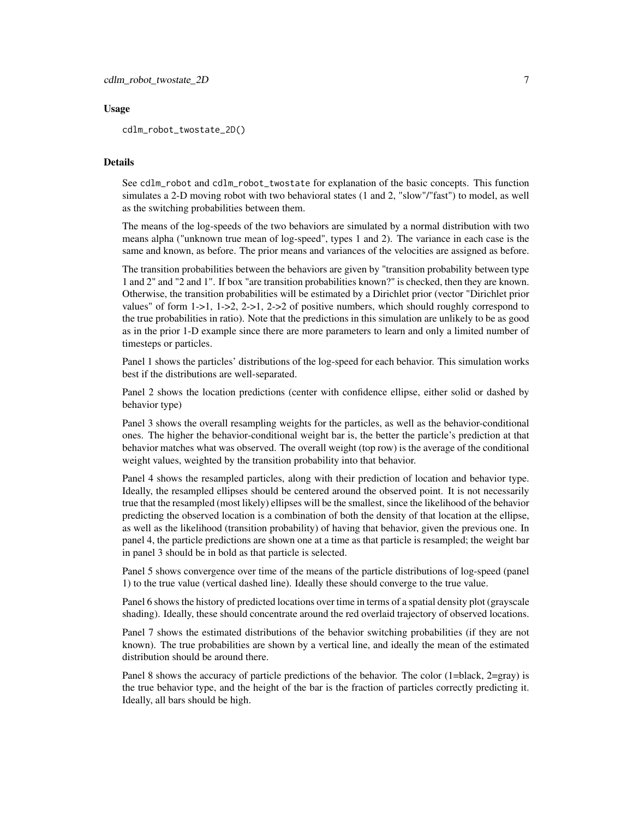## Usage

cdlm\_robot\_twostate\_2D()

## **Details**

See cdlm\_robot and cdlm\_robot\_twostate for explanation of the basic concepts. This function simulates a 2-D moving robot with two behavioral states (1 and 2, "slow"/"fast") to model, as well as the switching probabilities between them.

The means of the log-speeds of the two behaviors are simulated by a normal distribution with two means alpha ("unknown true mean of log-speed", types 1 and 2). The variance in each case is the same and known, as before. The prior means and variances of the velocities are assigned as before.

The transition probabilities between the behaviors are given by "transition probability between type 1 and 2" and "2 and 1". If box "are transition probabilities known?" is checked, then they are known. Otherwise, the transition probabilities will be estimated by a Dirichlet prior (vector "Dirichlet prior values" of form  $1-1$ ,  $1-2$ ,  $2-1$ ,  $2-2$  of positive numbers, which should roughly correspond to the true probabilities in ratio). Note that the predictions in this simulation are unlikely to be as good as in the prior 1-D example since there are more parameters to learn and only a limited number of timesteps or particles.

Panel 1 shows the particles' distributions of the log-speed for each behavior. This simulation works best if the distributions are well-separated.

Panel 2 shows the location predictions (center with confidence ellipse, either solid or dashed by behavior type)

Panel 3 shows the overall resampling weights for the particles, as well as the behavior-conditional ones. The higher the behavior-conditional weight bar is, the better the particle's prediction at that behavior matches what was observed. The overall weight (top row) is the average of the conditional weight values, weighted by the transition probability into that behavior.

Panel 4 shows the resampled particles, along with their prediction of location and behavior type. Ideally, the resampled ellipses should be centered around the observed point. It is not necessarily true that the resampled (most likely) ellipses will be the smallest, since the likelihood of the behavior predicting the observed location is a combination of both the density of that location at the ellipse, as well as the likelihood (transition probability) of having that behavior, given the previous one. In panel 4, the particle predictions are shown one at a time as that particle is resampled; the weight bar in panel 3 should be in bold as that particle is selected.

Panel 5 shows convergence over time of the means of the particle distributions of log-speed (panel 1) to the true value (vertical dashed line). Ideally these should converge to the true value.

Panel 6 shows the history of predicted locations over time in terms of a spatial density plot (grayscale shading). Ideally, these should concentrate around the red overlaid trajectory of observed locations.

Panel 7 shows the estimated distributions of the behavior switching probabilities (if they are not known). The true probabilities are shown by a vertical line, and ideally the mean of the estimated distribution should be around there.

Panel 8 shows the accuracy of particle predictions of the behavior. The color (1=black, 2=gray) is the true behavior type, and the height of the bar is the fraction of particles correctly predicting it. Ideally, all bars should be high.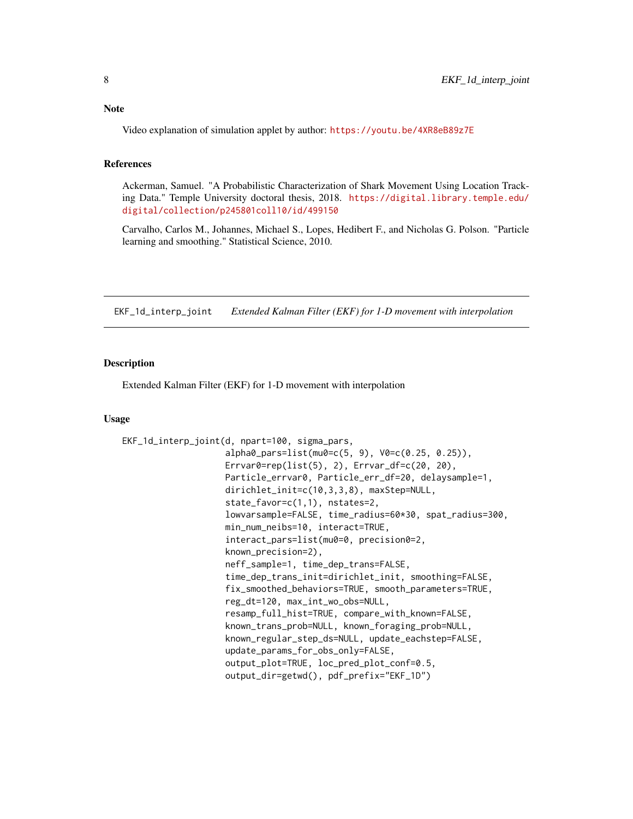<span id="page-7-0"></span>Video explanation of simulation applet by author: <https://youtu.be/4XR8eB89z7E>

## References

Ackerman, Samuel. "A Probabilistic Characterization of Shark Movement Using Location Tracking Data." Temple University doctoral thesis, 2018. [https://digital.library.temple.edu/](https://digital.library.temple.edu/digital/collection/p245801coll10/id/499150) [digital/collection/p245801coll10/id/499150](https://digital.library.temple.edu/digital/collection/p245801coll10/id/499150)

Carvalho, Carlos M., Johannes, Michael S., Lopes, Hedibert F., and Nicholas G. Polson. "Particle learning and smoothing." Statistical Science, 2010.

<span id="page-7-1"></span>EKF\_1d\_interp\_joint *Extended Kalman Filter (EKF) for 1-D movement with interpolation*

## Description

Extended Kalman Filter (EKF) for 1-D movement with interpolation

#### Usage

```
EKF_1d_interp_joint(d, npart=100, sigma_pars,
                    alpha0_pars=list(mu0=c(5, 9), V0=c(0.25, 0.25)),
                    Errvar0=rep(list(5), 2), Errvar_df=c(20, 20),
                    Particle_errvar0, Particle_err_df=20, delaysample=1,
                    dirichlet_init=c(10,3,3,8), maxStep=NULL,
                    state_favor=c(1,1), nstates=2,
                    lowvarsample=FALSE, time_radius=60*30, spat_radius=300,
                    min_num_neibs=10, interact=TRUE,
                    interact_pars=list(mu0=0, precision0=2,
                    known_precision=2),
                    neff_sample=1, time_dep_trans=FALSE,
                    time_dep_trans_init=dirichlet_init, smoothing=FALSE,
                    fix_smoothed_behaviors=TRUE, smooth_parameters=TRUE,
                    reg_dt=120, max_int_wo_obs=NULL,
                    resamp_full_hist=TRUE, compare_with_known=FALSE,
                    known_trans_prob=NULL, known_foraging_prob=NULL,
                    known_regular_step_ds=NULL, update_eachstep=FALSE,
                    update_params_for_obs_only=FALSE,
                    output_plot=TRUE, loc_pred_plot_conf=0.5,
                    output_dir=getwd(), pdf_prefix="EKF_1D")
```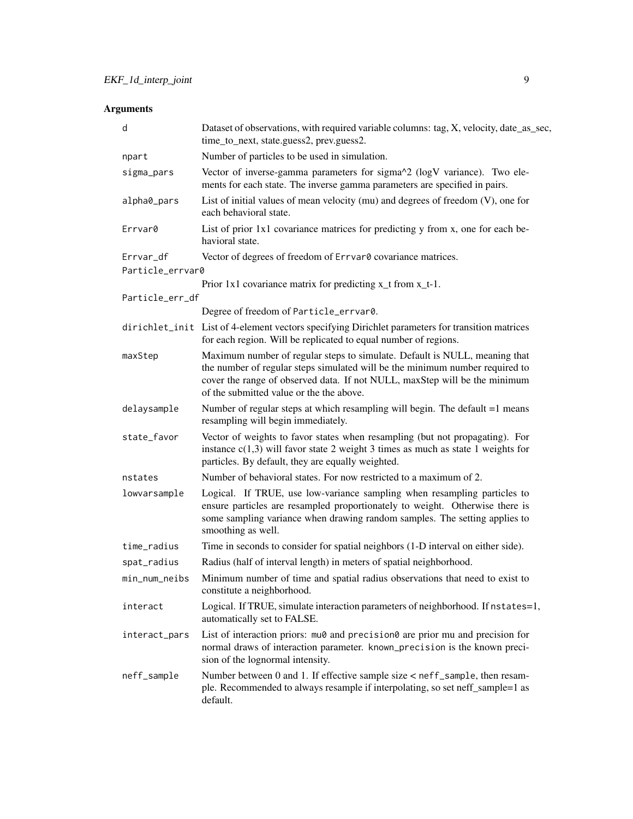# Arguments

| d                             | Dataset of observations, with required variable columns: tag, X, velocity, date_as_sec,<br>time_to_next, state.guess2, prev.guess2.                                                                                                                                                  |
|-------------------------------|--------------------------------------------------------------------------------------------------------------------------------------------------------------------------------------------------------------------------------------------------------------------------------------|
| npart                         | Number of particles to be used in simulation.                                                                                                                                                                                                                                        |
| sigma_pars                    | Vector of inverse-gamma parameters for sigma^2 (logV variance). Two ele-<br>ments for each state. The inverse gamma parameters are specified in pairs.                                                                                                                               |
| alpha0_pars                   | List of initial values of mean velocity (mu) and degrees of freedom $(V)$ , one for<br>each behavioral state.                                                                                                                                                                        |
| Errvar0                       | List of prior 1x1 covariance matrices for predicting y from x, one for each be-<br>havioral state.                                                                                                                                                                                   |
| Errvar_df<br>Particle_errvar0 | Vector of degrees of freedom of Errvar0 covariance matrices.                                                                                                                                                                                                                         |
|                               | Prior $1x1$ covariance matrix for predicting $x_t$ from $x_t-1$ .                                                                                                                                                                                                                    |
| Particle_err_df               |                                                                                                                                                                                                                                                                                      |
|                               | Degree of freedom of Particle_errvar0.                                                                                                                                                                                                                                               |
|                               | dirichlet_init List of 4-element vectors specifying Dirichlet parameters for transition matrices<br>for each region. Will be replicated to equal number of regions.                                                                                                                  |
| maxStep                       | Maximum number of regular steps to simulate. Default is NULL, meaning that<br>the number of regular steps simulated will be the minimum number required to<br>cover the range of observed data. If not NULL, maxStep will be the minimum<br>of the submitted value or the the above. |
| delaysample                   | Number of regular steps at which resampling will begin. The default $=1$ means<br>resampling will begin immediately.                                                                                                                                                                 |
| state_favor                   | Vector of weights to favor states when resampling (but not propagating). For<br>instance $c(1,3)$ will favor state 2 weight 3 times as much as state 1 weights for<br>particles. By default, they are equally weighted.                                                              |
| nstates                       | Number of behavioral states. For now restricted to a maximum of 2.                                                                                                                                                                                                                   |
| lowvarsample                  | Logical. If TRUE, use low-variance sampling when resampling particles to<br>ensure particles are resampled proportionately to weight. Otherwise there is<br>some sampling variance when drawing random samples. The setting applies to<br>smoothing as well.                         |
| time_radius                   | Time in seconds to consider for spatial neighbors (1-D interval on either side).                                                                                                                                                                                                     |
| spat_radius                   | Radius (half of interval length) in meters of spatial neighborhood.                                                                                                                                                                                                                  |
| min_num_neibs                 | Minimum number of time and spatial radius observations that need to exist to<br>constitute a neighborhood.                                                                                                                                                                           |
| interact                      | Logical. If TRUE, simulate interaction parameters of neighborhood. If nstates=1,<br>automatically set to FALSE.                                                                                                                                                                      |
| interact_pars                 | List of interaction priors: mu0 and precision0 are prior mu and precision for<br>normal draws of interaction parameter. known_precision is the known preci-<br>sion of the lognormal intensity.                                                                                      |
| neff_sample                   | Number between 0 and 1. If effective sample size < neff_sample, then resam-<br>ple. Recommended to always resample if interpolating, so set neff_sample=1 as<br>default.                                                                                                             |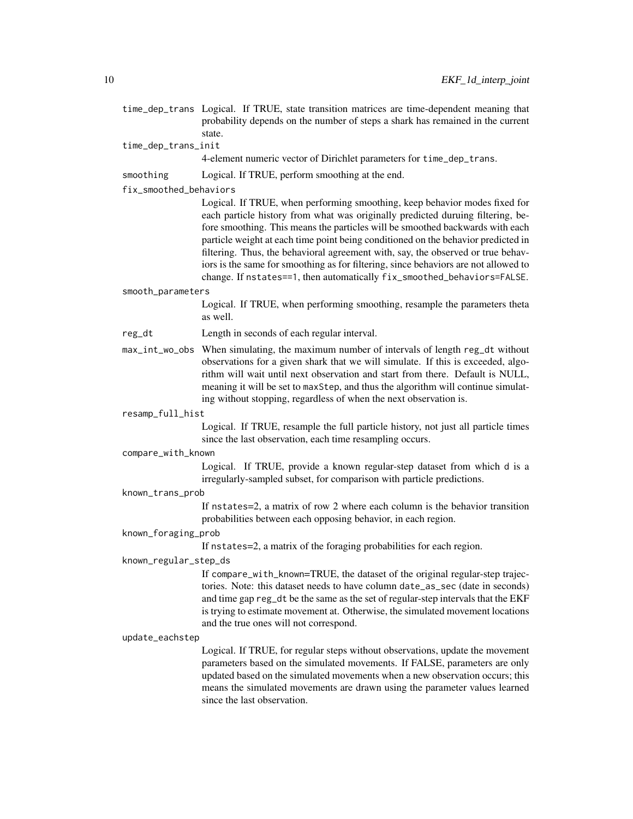- time\_dep\_trans Logical. If TRUE, state transition matrices are time-dependent meaning that probability depends on the number of steps a shark has remained in the current state.
- time\_dep\_trans\_init

4-element numeric vector of Dirichlet parameters for time\_dep\_trans.

smoothing Logical. If TRUE, perform smoothing at the end.

fix\_smoothed\_behaviors

Logical. If TRUE, when performing smoothing, keep behavior modes fixed for each particle history from what was originally predicted duruing filtering, before smoothing. This means the particles will be smoothed backwards with each particle weight at each time point being conditioned on the behavior predicted in filtering. Thus, the behavioral agreement with, say, the observed or true behaviors is the same for smoothing as for filtering, since behaviors are not allowed to change. If nstates==1, then automatically fix\_smoothed\_behaviors=FALSE.

#### smooth\_parameters

Logical. If TRUE, when performing smoothing, resample the parameters theta as well.

- reg\_dt Length in seconds of each regular interval.
- max\_int\_wo\_obs When simulating, the maximum number of intervals of length reg\_dt without observations for a given shark that we will simulate. If this is exceeded, algorithm will wait until next observation and start from there. Default is NULL, meaning it will be set to maxStep, and thus the algorithm will continue simulating without stopping, regardless of when the next observation is.

#### resamp\_full\_hist

Logical. If TRUE, resample the full particle history, not just all particle times since the last observation, each time resampling occurs.

#### compare\_with\_known

Logical. If TRUE, provide a known regular-step dataset from which d is a irregularly-sampled subset, for comparison with particle predictions.

known\_trans\_prob

If nstates=2, a matrix of row 2 where each column is the behavior transition probabilities between each opposing behavior, in each region.

## known\_foraging\_prob

If nstates=2, a matrix of the foraging probabilities for each region.

#### known\_regular\_step\_ds

If compare\_with\_known=TRUE, the dataset of the original regular-step trajectories. Note: this dataset needs to have column date\_as\_sec (date in seconds) and time gap reg\_dt be the same as the set of regular-step intervals that the EKF is trying to estimate movement at. Otherwise, the simulated movement locations and the true ones will not correspond.

#### update\_eachstep

Logical. If TRUE, for regular steps without observations, update the movement parameters based on the simulated movements. If FALSE, parameters are only updated based on the simulated movements when a new observation occurs; this means the simulated movements are drawn using the parameter values learned since the last observation.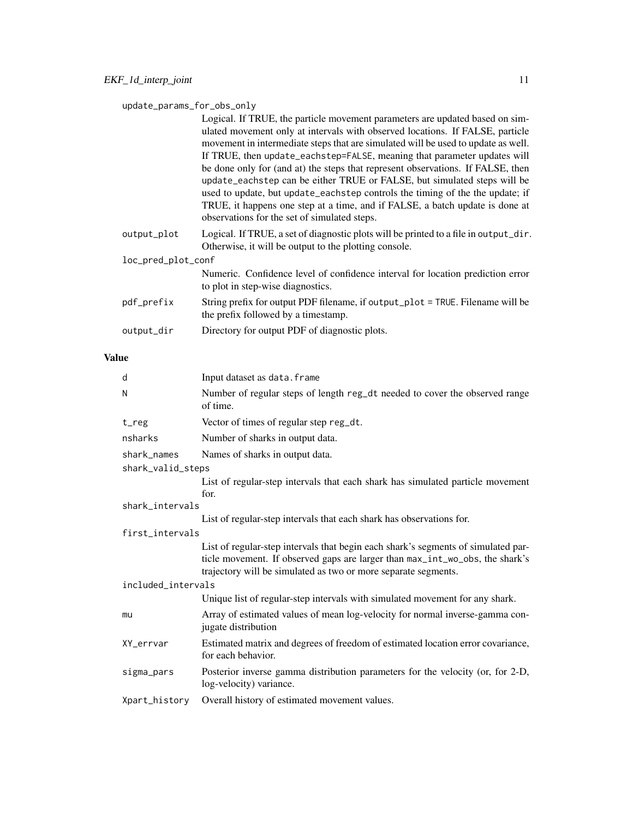## update\_params\_for\_obs\_only

Logical. If TRUE, the particle movement parameters are updated based on simulated movement only at intervals with observed locations. If FALSE, particle movement in intermediate steps that are simulated will be used to update as well. If TRUE, then update\_eachstep=FALSE, meaning that parameter updates will be done only for (and at) the steps that represent observations. If FALSE, then update\_eachstep can be either TRUE or FALSE, but simulated steps will be used to update, but update\_eachstep controls the timing of the the update; if TRUE, it happens one step at a time, and if FALSE, a batch update is done at observations for the set of simulated steps.

output\_plot Logical. If TRUE, a set of diagnostic plots will be printed to a file in output\_dir. Otherwise, it will be output to the plotting console.

loc\_pred\_plot\_conf

|            | Numeric. Confidence level of confidence interval for location prediction error<br>to plot in step-wise diagnostics.   |
|------------|-----------------------------------------------------------------------------------------------------------------------|
| pdf_prefix | String prefix for output PDF filename, if output_plot = TRUE. Filename will be<br>the prefix followed by a timestamp. |

output\_dir Directory for output PDF of diagnostic plots.

## Value

| d                  | Input dataset as data. frame                                                                                                                   |  |
|--------------------|------------------------------------------------------------------------------------------------------------------------------------------------|--|
| N                  | Number of regular steps of length reg_dt needed to cover the observed range<br>of time.                                                        |  |
| t_reg              | Vector of times of regular step reg_dt.                                                                                                        |  |
| nsharks            | Number of sharks in output data.                                                                                                               |  |
| shark_names        | Names of sharks in output data.                                                                                                                |  |
| shark_valid_steps  |                                                                                                                                                |  |
|                    | List of regular-step intervals that each shark has simulated particle movement<br>for.                                                         |  |
| shark intervals    |                                                                                                                                                |  |
|                    | List of regular-step intervals that each shark has observations for.                                                                           |  |
| first_intervals    |                                                                                                                                                |  |
|                    | List of regular-step intervals that begin each shark's segments of simulated par-                                                              |  |
|                    | ticle movement. If observed gaps are larger than max_int_wo_obs, the shark's<br>trajectory will be simulated as two or more separate segments. |  |
| included_intervals |                                                                                                                                                |  |
|                    | Unique list of regular-step intervals with simulated movement for any shark.                                                                   |  |
| mu                 | Array of estimated values of mean log-velocity for normal inverse-gamma con-<br>jugate distribution                                            |  |
| XY_errvar          | Estimated matrix and degrees of freedom of estimated location error covariance,<br>for each behavior.                                          |  |
| sigma_pars         | Posterior inverse gamma distribution parameters for the velocity (or, for 2-D,<br>log-velocity) variance.                                      |  |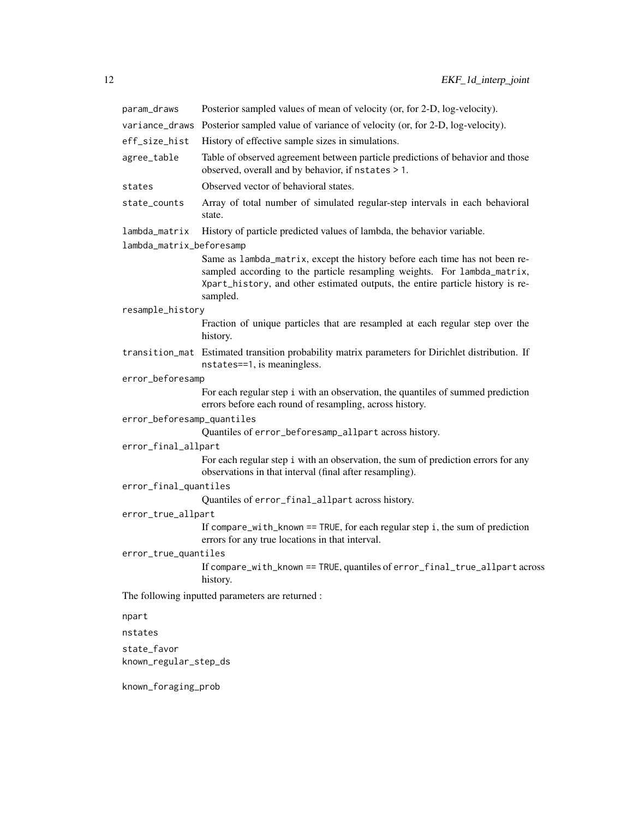| param_draws                | Posterior sampled values of mean of velocity (or, for 2-D, log-velocity).                                                                                                                                                                             |
|----------------------------|-------------------------------------------------------------------------------------------------------------------------------------------------------------------------------------------------------------------------------------------------------|
|                            | variance_draws Posterior sampled value of variance of velocity (or, for 2-D, log-velocity).                                                                                                                                                           |
| eff_size_hist              | History of effective sample sizes in simulations.                                                                                                                                                                                                     |
| agree_table                | Table of observed agreement between particle predictions of behavior and those<br>observed, overall and by behavior, if nstates > 1.                                                                                                                  |
| states                     | Observed vector of behavioral states.                                                                                                                                                                                                                 |
| state_counts               | Array of total number of simulated regular-step intervals in each behavioral<br>state.                                                                                                                                                                |
| lambda_matrix              | History of particle predicted values of lambda, the behavior variable.                                                                                                                                                                                |
| lambda_matrix_beforesamp   |                                                                                                                                                                                                                                                       |
|                            | Same as lambda_matrix, except the history before each time has not been re-<br>sampled according to the particle resampling weights. For lambda_matrix,<br>Xpart_history, and other estimated outputs, the entire particle history is re-<br>sampled. |
| resample_history           |                                                                                                                                                                                                                                                       |
|                            | Fraction of unique particles that are resampled at each regular step over the<br>history.                                                                                                                                                             |
|                            | transition_mat Estimated transition probability matrix parameters for Dirichlet distribution. If<br>nstates==1, is meaningless.                                                                                                                       |
| error_beforesamp           |                                                                                                                                                                                                                                                       |
|                            | For each regular step i with an observation, the quantiles of summed prediction<br>errors before each round of resampling, across history.                                                                                                            |
| error_beforesamp_quantiles |                                                                                                                                                                                                                                                       |
|                            | Quantiles of error_beforesamp_allpart across history.                                                                                                                                                                                                 |
| error_final_allpart        |                                                                                                                                                                                                                                                       |
|                            | For each regular step i with an observation, the sum of prediction errors for any<br>observations in that interval (final after resampling).                                                                                                          |
| error_final_quantiles      |                                                                                                                                                                                                                                                       |
|                            | Quantiles of error_final_allpart across history.                                                                                                                                                                                                      |
| error_true_allpart         |                                                                                                                                                                                                                                                       |
|                            | If compare_with_known == TRUE, for each regular step i, the sum of prediction<br>errors for any true locations in that interval.                                                                                                                      |
| error_true_quantiles       |                                                                                                                                                                                                                                                       |
|                            | If compare_with_known == TRUE, quantiles of error_final_true_allpart across<br>history.                                                                                                                                                               |
|                            | The following inputted parameters are returned :                                                                                                                                                                                                      |
| npart                      |                                                                                                                                                                                                                                                       |
| nstates                    |                                                                                                                                                                                                                                                       |
| state_favor                |                                                                                                                                                                                                                                                       |
| known_regular_step_ds      |                                                                                                                                                                                                                                                       |
| known_foraging_prob        |                                                                                                                                                                                                                                                       |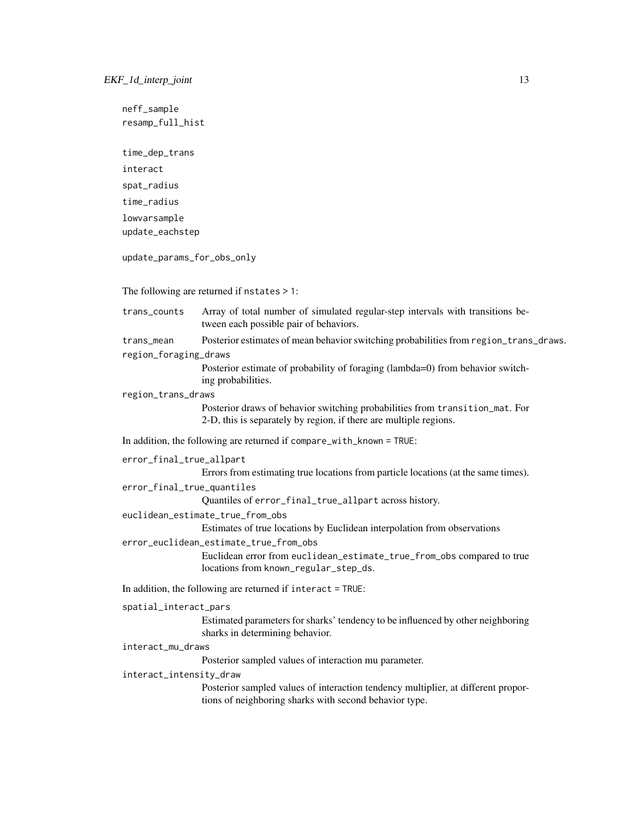neff\_sample resamp\_full\_hist time\_dep\_trans interact spat\_radius time\_radius lowvarsample update\_eachstep update\_params\_for\_obs\_only The following are returned if nstates > 1: trans\_counts Array of total number of simulated regular-step intervals with transitions between each possible pair of behaviors. trans\_mean Posterior estimates of mean behavior switching probabilities from region\_trans\_draws. region\_foraging\_draws Posterior estimate of probability of foraging (lambda=0) from behavior switching probabilities. region\_trans\_draws Posterior draws of behavior switching probabilities from transition\_mat. For 2-D, this is separately by region, if there are multiple regions. In addition, the following are returned if compare\_with\_known = TRUE: error\_final\_true\_allpart Errors from estimating true locations from particle locations (at the same times). error\_final\_true\_quantiles Quantiles of error\_final\_true\_allpart across history. euclidean\_estimate\_true\_from\_obs Estimates of true locations by Euclidean interpolation from observations error\_euclidean\_estimate\_true\_from\_obs Euclidean error from euclidean\_estimate\_true\_from\_obs compared to true locations from known\_regular\_step\_ds. In addition, the following are returned if interact = TRUE: spatial\_interact\_pars Estimated parameters for sharks' tendency to be influenced by other neighboring sharks in determining behavior. interact\_mu\_draws Posterior sampled values of interaction mu parameter. interact\_intensity\_draw Posterior sampled values of interaction tendency multiplier, at different proportions of neighboring sharks with second behavior type.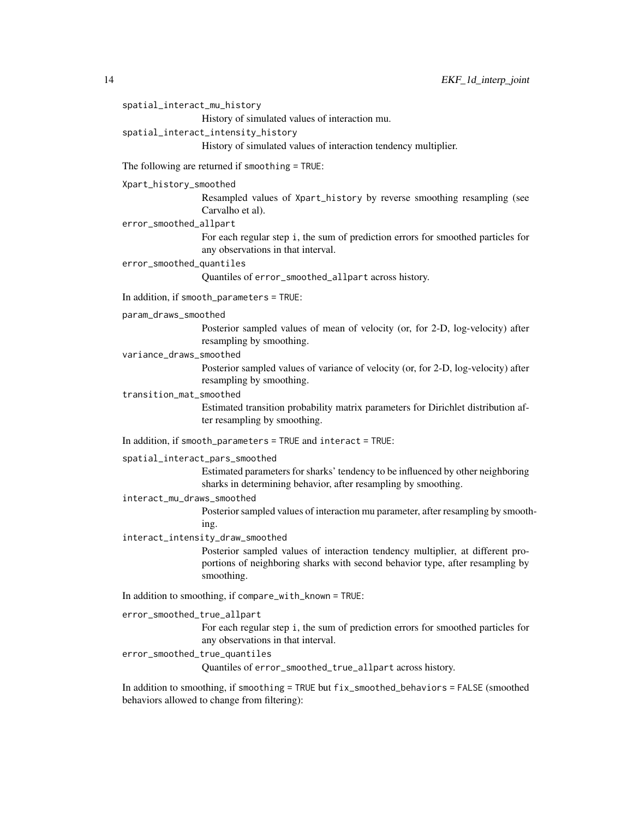```
14 EKF_1d_interp_joint
    spatial_interact_mu_history
                     History of simulated values of interaction mu.
    spatial_interact_intensity_history
                     History of simulated values of interaction tendency multiplier.
    The following are returned if smoothing = TRUE:
    Xpart_history_smoothed
                     Resampled values of Xpart_history by reverse smoothing resampling (see
                     Carvalho et al).
    error_smoothed_allpart
                     For each regular step i, the sum of prediction errors for smoothed particles for
                     any observations in that interval.
    error_smoothed_quantiles
                     Quantiles of error_smoothed_allpart across history.
    In addition, if smooth_parameters = TRUE:
    param_draws_smoothed
                     Posterior sampled values of mean of velocity (or, for 2-D, log-velocity) after
                     resampling by smoothing.
    variance_draws_smoothed
                     Posterior sampled values of variance of velocity (or, for 2-D, log-velocity) after
                     resampling by smoothing.
    transition_mat_smoothed
                     Estimated transition probability matrix parameters for Dirichlet distribution af-
                     ter resampling by smoothing.
    In addition, if smooth_parameters = TRUE and interact = TRUE:
    spatial_interact_pars_smoothed
                     Estimated parameters for sharks' tendency to be influenced by other neighboring
                     sharks in determining behavior, after resampling by smoothing.
    interact_mu_draws_smoothed
                     Posterior sampled values of interaction mu parameter, after resampling by smooth-
                     ing.
    interact_intensity_draw_smoothed
                     Posterior sampled values of interaction tendency multiplier, at different pro-
                     portions of neighboring sharks with second behavior type, after resampling by
                     smoothing.
    In addition to smoothing, if compare_with_known = TRUE:
    error_smoothed_true_allpart
                     For each regular step i, the sum of prediction errors for smoothed particles for
                     any observations in that interval.
    error_smoothed_true_quantiles
                     Quantiles of error_smoothed_true_allpart across history.
```
In addition to smoothing, if smoothing = TRUE but fix\_smoothed\_behaviors = FALSE (smoothed behaviors allowed to change from filtering):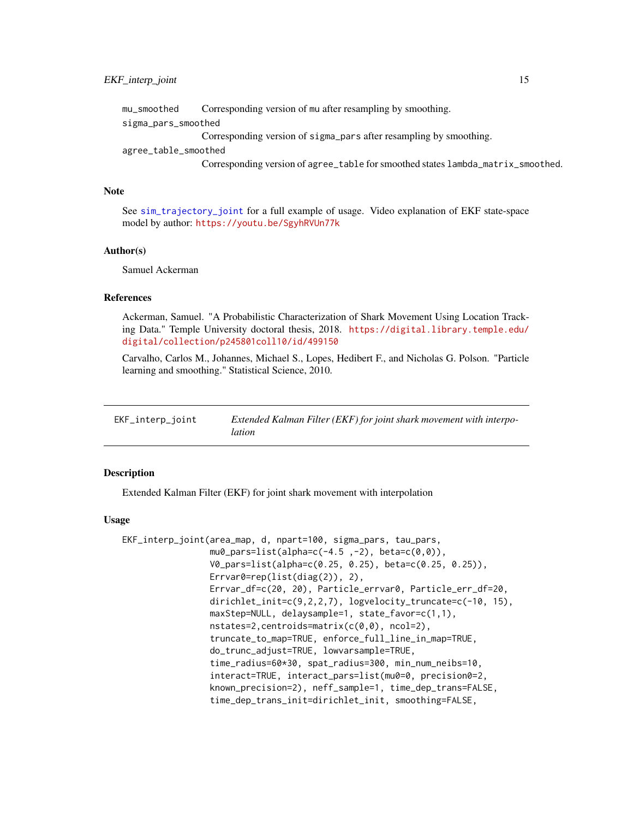<span id="page-14-0"></span>mu\_smoothed Corresponding version of mu after resampling by smoothing. sigma\_pars\_smoothed Corresponding version of sigma\_pars after resampling by smoothing. agree\_table\_smoothed Corresponding version of agree\_table for smoothed states lambda\_matrix\_smoothed.

#### **Note**

See [sim\\_trajectory\\_joint](#page-25-1) for a full example of usage. Video explanation of EKF state-space model by author: <https://youtu.be/SgyhRVUn77k>

### Author(s)

Samuel Ackerman

## References

Ackerman, Samuel. "A Probabilistic Characterization of Shark Movement Using Location Tracking Data." Temple University doctoral thesis, 2018. [https://digital.library.temple.edu/](https://digital.library.temple.edu/digital/collection/p245801coll10/id/499150) [digital/collection/p245801coll10/id/499150](https://digital.library.temple.edu/digital/collection/p245801coll10/id/499150)

Carvalho, Carlos M., Johannes, Michael S., Lopes, Hedibert F., and Nicholas G. Polson. "Particle learning and smoothing." Statistical Science, 2010.

| EKF_interp_joint | Extended Kalman Filter (EKF) for joint shark movement with interpo- |
|------------------|---------------------------------------------------------------------|
|                  | lation                                                              |

## **Description**

Extended Kalman Filter (EKF) for joint shark movement with interpolation

#### Usage

```
EKF_interp_joint(area_map, d, npart=100, sigma_pars, tau_pars,
                 mu0_{\text{pars}=list(alpha=c(-4.5, -2), beta=c(0, 0)),V0_pars=list(alpha=c(0.25, 0.25), beta=c(0.25, 0.25)),
                 Errvar0=rep(list(diag(2)), 2),
                 Errvar_df=c(20, 20), Particle_errvar0, Particle_err_df=20,
                 dirichlet_init=c(9,2,2,7), logvelocity_truncate=c(-10, 15),
                 maxStep=NULL, delaysample=1, state_favor=c(1,1),
                 nstates=2,centroids=matrix(c(0,0), ncol=2),
                 truncate_to_map=TRUE, enforce_full_line_in_map=TRUE,
                 do_trunc_adjust=TRUE, lowvarsample=TRUE,
                 time_radius=60*30, spat_radius=300, min_num_neibs=10,
                 interact=TRUE, interact_pars=list(mu0=0, precision0=2,
                 known_precision=2), neff_sample=1, time_dep_trans=FALSE,
                 time_dep_trans_init=dirichlet_init, smoothing=FALSE,
```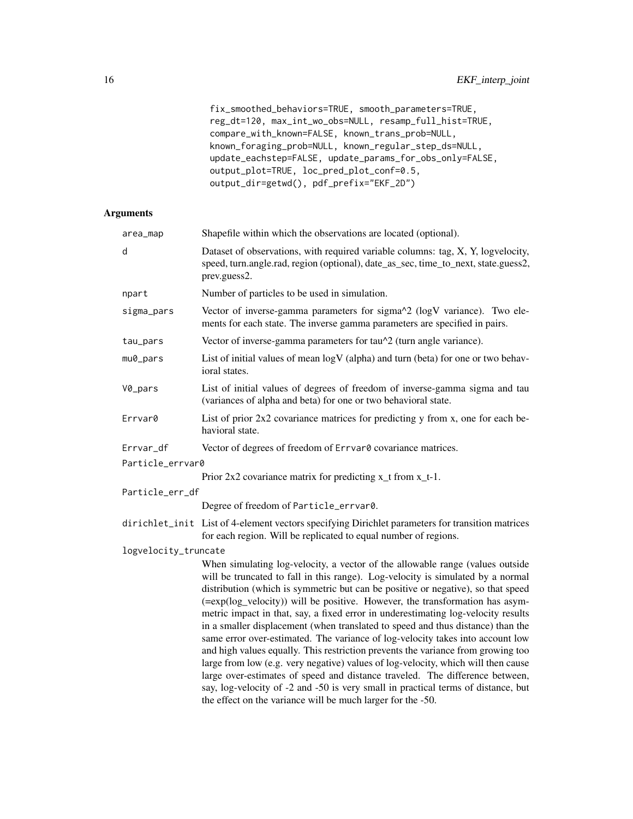fix\_smoothed\_behaviors=TRUE, smooth\_parameters=TRUE, reg\_dt=120, max\_int\_wo\_obs=NULL, resamp\_full\_hist=TRUE, compare\_with\_known=FALSE, known\_trans\_prob=NULL, known\_foraging\_prob=NULL, known\_regular\_step\_ds=NULL, update\_eachstep=FALSE, update\_params\_for\_obs\_only=FALSE, output\_plot=TRUE, loc\_pred\_plot\_conf=0.5, output\_dir=getwd(), pdf\_prefix="EKF\_2D")

## Arguments

| area_map             | Shapefile within which the observations are located (optional).                                                                                                                                                                                                                                                                                                                                                                                                                                                                                                                                                                                                                                                                                                                                                                                                                                                                                                                                             |
|----------------------|-------------------------------------------------------------------------------------------------------------------------------------------------------------------------------------------------------------------------------------------------------------------------------------------------------------------------------------------------------------------------------------------------------------------------------------------------------------------------------------------------------------------------------------------------------------------------------------------------------------------------------------------------------------------------------------------------------------------------------------------------------------------------------------------------------------------------------------------------------------------------------------------------------------------------------------------------------------------------------------------------------------|
| d                    | Dataset of observations, with required variable columns: tag, X, Y, logvelocity,<br>speed, turn.angle.rad, region (optional), date_as_sec, time_to_next, state.guess2,<br>prev.guess2.                                                                                                                                                                                                                                                                                                                                                                                                                                                                                                                                                                                                                                                                                                                                                                                                                      |
| npart                | Number of particles to be used in simulation.                                                                                                                                                                                                                                                                                                                                                                                                                                                                                                                                                                                                                                                                                                                                                                                                                                                                                                                                                               |
| sigma_pars           | Vector of inverse-gamma parameters for sigma^2 (logV variance). Two ele-<br>ments for each state. The inverse gamma parameters are specified in pairs.                                                                                                                                                                                                                                                                                                                                                                                                                                                                                                                                                                                                                                                                                                                                                                                                                                                      |
| tau_pars             | Vector of inverse-gamma parameters for tau <sup><math>\lambda</math></sup> (turn angle variance).                                                                                                                                                                                                                                                                                                                                                                                                                                                                                                                                                                                                                                                                                                                                                                                                                                                                                                           |
| mu0_pars             | List of initial values of mean logV (alpha) and turn (beta) for one or two behav-<br>ioral states.                                                                                                                                                                                                                                                                                                                                                                                                                                                                                                                                                                                                                                                                                                                                                                                                                                                                                                          |
| V0_pars              | List of initial values of degrees of freedom of inverse-gamma sigma and tau<br>(variances of alpha and beta) for one or two behavioral state.                                                                                                                                                                                                                                                                                                                                                                                                                                                                                                                                                                                                                                                                                                                                                                                                                                                               |
| Errvar0              | List of prior 2x2 covariance matrices for predicting y from x, one for each be-<br>havioral state.                                                                                                                                                                                                                                                                                                                                                                                                                                                                                                                                                                                                                                                                                                                                                                                                                                                                                                          |
| Errvar_df            | Vector of degrees of freedom of Errvar0 covariance matrices.                                                                                                                                                                                                                                                                                                                                                                                                                                                                                                                                                                                                                                                                                                                                                                                                                                                                                                                                                |
| Particle_errvar0     |                                                                                                                                                                                                                                                                                                                                                                                                                                                                                                                                                                                                                                                                                                                                                                                                                                                                                                                                                                                                             |
|                      | Prior $2x2$ covariance matrix for predicting $x_t$ from $x_t-1$ .                                                                                                                                                                                                                                                                                                                                                                                                                                                                                                                                                                                                                                                                                                                                                                                                                                                                                                                                           |
| Particle_err_df      |                                                                                                                                                                                                                                                                                                                                                                                                                                                                                                                                                                                                                                                                                                                                                                                                                                                                                                                                                                                                             |
|                      | Degree of freedom of Particle_errvar0.                                                                                                                                                                                                                                                                                                                                                                                                                                                                                                                                                                                                                                                                                                                                                                                                                                                                                                                                                                      |
|                      | dirichlet_init List of 4-element vectors specifying Dirichlet parameters for transition matrices<br>for each region. Will be replicated to equal number of regions.                                                                                                                                                                                                                                                                                                                                                                                                                                                                                                                                                                                                                                                                                                                                                                                                                                         |
| logvelocity_truncate |                                                                                                                                                                                                                                                                                                                                                                                                                                                                                                                                                                                                                                                                                                                                                                                                                                                                                                                                                                                                             |
|                      | When simulating log-velocity, a vector of the allowable range (values outside<br>will be truncated to fall in this range). Log-velocity is simulated by a normal<br>distribution (which is symmetric but can be positive or negative), so that speed<br>(=exp(log_velocity)) will be positive. However, the transformation has asym-<br>metric impact in that, say, a fixed error in underestimating log-velocity results<br>in a smaller displacement (when translated to speed and thus distance) than the<br>same error over-estimated. The variance of log-velocity takes into account low<br>and high values equally. This restriction prevents the variance from growing too<br>large from low (e.g. very negative) values of log-velocity, which will then cause<br>large over-estimates of speed and distance traveled. The difference between,<br>say, log-velocity of -2 and -50 is very small in practical terms of distance, but<br>the effect on the variance will be much larger for the -50. |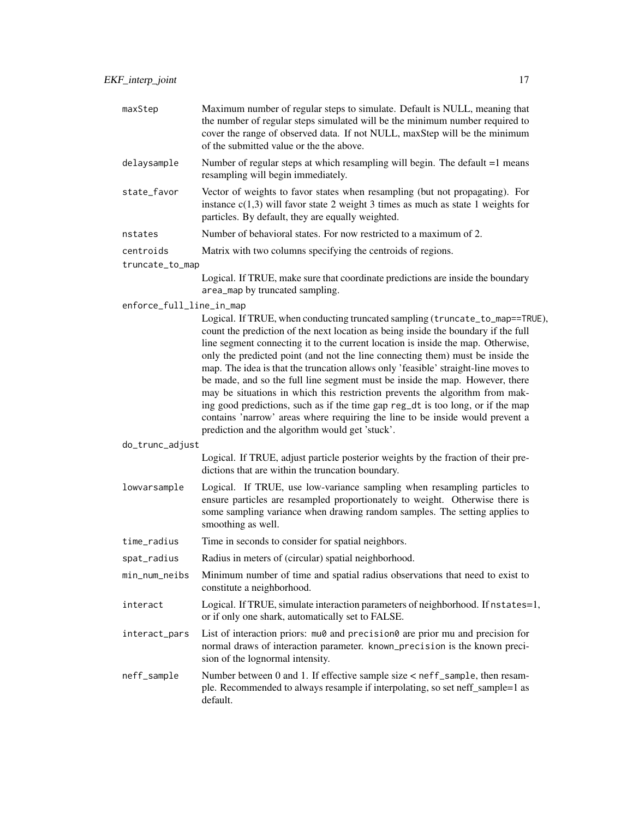| maxStep                  | Maximum number of regular steps to simulate. Default is NULL, meaning that<br>the number of regular steps simulated will be the minimum number required to<br>cover the range of observed data. If not NULL, maxStep will be the minimum<br>of the submitted value or the the above.                                                                                                                                                                                                                                                                                                                                                                                                                                                                                                                                   |
|--------------------------|------------------------------------------------------------------------------------------------------------------------------------------------------------------------------------------------------------------------------------------------------------------------------------------------------------------------------------------------------------------------------------------------------------------------------------------------------------------------------------------------------------------------------------------------------------------------------------------------------------------------------------------------------------------------------------------------------------------------------------------------------------------------------------------------------------------------|
| delaysample              | Number of regular steps at which resampling will begin. The default =1 means<br>resampling will begin immediately.                                                                                                                                                                                                                                                                                                                                                                                                                                                                                                                                                                                                                                                                                                     |
| state_favor              | Vector of weights to favor states when resampling (but not propagating). For<br>instance $c(1,3)$ will favor state 2 weight 3 times as much as state 1 weights for<br>particles. By default, they are equally weighted.                                                                                                                                                                                                                                                                                                                                                                                                                                                                                                                                                                                                |
| nstates                  | Number of behavioral states. For now restricted to a maximum of 2.                                                                                                                                                                                                                                                                                                                                                                                                                                                                                                                                                                                                                                                                                                                                                     |
| centroids                | Matrix with two columns specifying the centroids of regions.                                                                                                                                                                                                                                                                                                                                                                                                                                                                                                                                                                                                                                                                                                                                                           |
| truncate_to_map          |                                                                                                                                                                                                                                                                                                                                                                                                                                                                                                                                                                                                                                                                                                                                                                                                                        |
|                          | Logical. If TRUE, make sure that coordinate predictions are inside the boundary<br>area_map by truncated sampling.                                                                                                                                                                                                                                                                                                                                                                                                                                                                                                                                                                                                                                                                                                     |
| enforce_full_line_in_map |                                                                                                                                                                                                                                                                                                                                                                                                                                                                                                                                                                                                                                                                                                                                                                                                                        |
|                          | Logical. If TRUE, when conducting truncated sampling (truncate_to_map==TRUE),<br>count the prediction of the next location as being inside the boundary if the full<br>line segment connecting it to the current location is inside the map. Otherwise,<br>only the predicted point (and not the line connecting them) must be inside the<br>map. The idea is that the truncation allows only 'feasible' straight-line moves to<br>be made, and so the full line segment must be inside the map. However, there<br>may be situations in which this restriction prevents the algorithm from mak-<br>ing good predictions, such as if the time gap reg_dt is too long, or if the map<br>contains 'narrow' areas where requiring the line to be inside would prevent a<br>prediction and the algorithm would get 'stuck'. |
| do_trunc_adjust          |                                                                                                                                                                                                                                                                                                                                                                                                                                                                                                                                                                                                                                                                                                                                                                                                                        |
|                          | Logical. If TRUE, adjust particle posterior weights by the fraction of their pre-<br>dictions that are within the truncation boundary.                                                                                                                                                                                                                                                                                                                                                                                                                                                                                                                                                                                                                                                                                 |
| lowvarsample             | Logical. If TRUE, use low-variance sampling when resampling particles to<br>ensure particles are resampled proportionately to weight. Otherwise there is<br>some sampling variance when drawing random samples. The setting applies to<br>smoothing as well.                                                                                                                                                                                                                                                                                                                                                                                                                                                                                                                                                           |
| time_radius              | Time in seconds to consider for spatial neighbors.                                                                                                                                                                                                                                                                                                                                                                                                                                                                                                                                                                                                                                                                                                                                                                     |
| spat_radius              | Radius in meters of (circular) spatial neighborhood.                                                                                                                                                                                                                                                                                                                                                                                                                                                                                                                                                                                                                                                                                                                                                                   |
| min_num_neibs            | Minimum number of time and spatial radius observations that need to exist to<br>constitute a neighborhood.                                                                                                                                                                                                                                                                                                                                                                                                                                                                                                                                                                                                                                                                                                             |
| interact                 | Logical. If TRUE, simulate interaction parameters of neighborhood. If nstates=1,<br>or if only one shark, automatically set to FALSE.                                                                                                                                                                                                                                                                                                                                                                                                                                                                                                                                                                                                                                                                                  |
| interact_pars            | List of interaction priors: mu0 and precision0 are prior mu and precision for<br>normal draws of interaction parameter. known_precision is the known preci-<br>sion of the lognormal intensity.                                                                                                                                                                                                                                                                                                                                                                                                                                                                                                                                                                                                                        |
| neff_sample              | Number between 0 and 1. If effective sample size < neff_sample, then resam-<br>ple. Recommended to always resample if interpolating, so set neff_sample=1 as<br>default.                                                                                                                                                                                                                                                                                                                                                                                                                                                                                                                                                                                                                                               |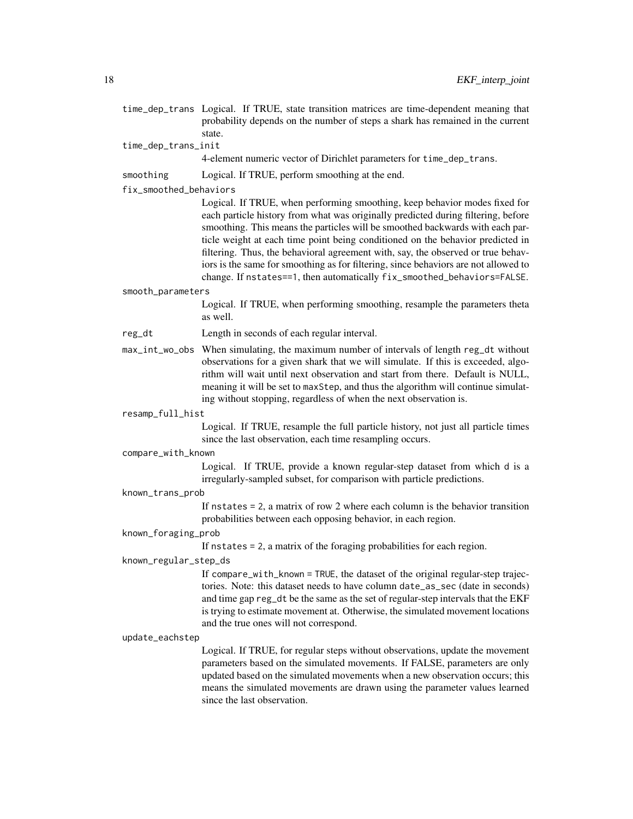- time\_dep\_trans Logical. If TRUE, state transition matrices are time-dependent meaning that probability depends on the number of steps a shark has remained in the current state.
- time\_dep\_trans\_init

4-element numeric vector of Dirichlet parameters for time\_dep\_trans.

smoothing Logical. If TRUE, perform smoothing at the end.

fix\_smoothed\_behaviors

Logical. If TRUE, when performing smoothing, keep behavior modes fixed for each particle history from what was originally predicted during filtering, before smoothing. This means the particles will be smoothed backwards with each particle weight at each time point being conditioned on the behavior predicted in filtering. Thus, the behavioral agreement with, say, the observed or true behaviors is the same for smoothing as for filtering, since behaviors are not allowed to change. If nstates==1, then automatically fix\_smoothed\_behaviors=FALSE.

#### smooth\_parameters

Logical. If TRUE, when performing smoothing, resample the parameters theta as well.

- reg\_dt Length in seconds of each regular interval.
- max\_int\_wo\_obs When simulating, the maximum number of intervals of length reg\_dt without observations for a given shark that we will simulate. If this is exceeded, algorithm will wait until next observation and start from there. Default is NULL, meaning it will be set to maxStep, and thus the algorithm will continue simulating without stopping, regardless of when the next observation is.

#### resamp\_full\_hist

Logical. If TRUE, resample the full particle history, not just all particle times since the last observation, each time resampling occurs.

#### compare\_with\_known

Logical. If TRUE, provide a known regular-step dataset from which d is a irregularly-sampled subset, for comparison with particle predictions.

known\_trans\_prob

If nstates = 2, a matrix of row 2 where each column is the behavior transition probabilities between each opposing behavior, in each region.

## known\_foraging\_prob

If nstates = 2, a matrix of the foraging probabilities for each region.

#### known\_regular\_step\_ds

If compare\_with\_known = TRUE, the dataset of the original regular-step trajectories. Note: this dataset needs to have column date\_as\_sec (date in seconds) and time gap reg\_dt be the same as the set of regular-step intervals that the EKF is trying to estimate movement at. Otherwise, the simulated movement locations and the true ones will not correspond.

#### update\_eachstep

Logical. If TRUE, for regular steps without observations, update the movement parameters based on the simulated movements. If FALSE, parameters are only updated based on the simulated movements when a new observation occurs; this means the simulated movements are drawn using the parameter values learned since the last observation.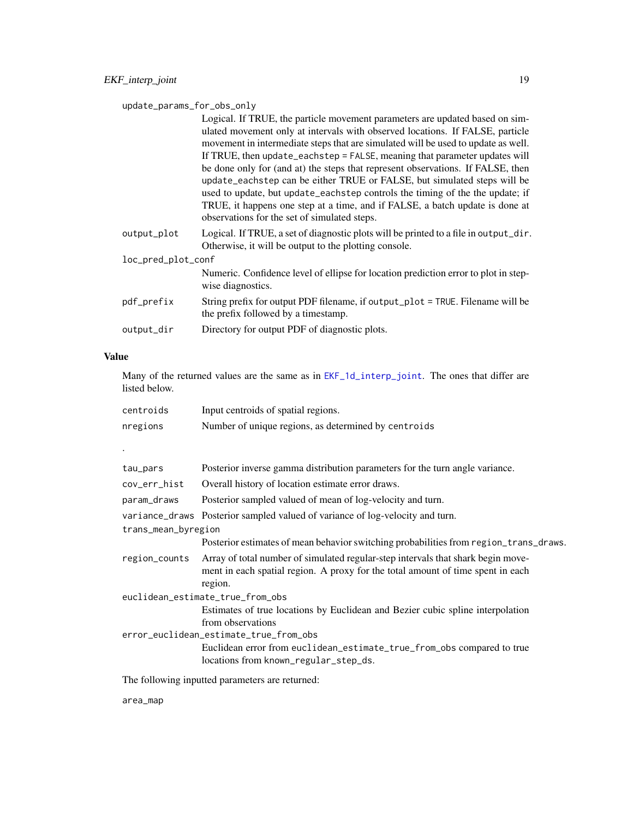<span id="page-18-0"></span>update\_params\_for\_obs\_only

Logical. If TRUE, the particle movement parameters are updated based on simulated movement only at intervals with observed locations. If FALSE, particle movement in intermediate steps that are simulated will be used to update as well. If TRUE, then update\_eachstep = FALSE, meaning that parameter updates will be done only for (and at) the steps that represent observations. If FALSE, then update\_eachstep can be either TRUE or FALSE, but simulated steps will be used to update, but update\_eachstep controls the timing of the the update; if TRUE, it happens one step at a time, and if FALSE, a batch update is done at observations for the set of simulated steps. output\_plot Logical. If TRUE, a set of diagnostic plots will be printed to a file in output\_dir. Otherwise, it will be output to the plotting console.

| loc_pred_plot_conf |                                                                                                                       |
|--------------------|-----------------------------------------------------------------------------------------------------------------------|
|                    | Numeric. Confidence level of ellipse for location prediction error to plot in step-<br>wise diagnostics.              |
| pdf_prefix         | String prefix for output PDF filename, if output_plot = TRUE. Filename will be<br>the prefix followed by a timestamp. |
| output_dir         | Directory for output PDF of diagnostic plots.                                                                         |

#### Value

Many of the returned values are the same as in  $EKF_1d_$ interp<sub>ropol</sub>oint. The ones that differ are listed below.

| centroids                              | Input centroids of spatial regions.                                                                                                                                            |  |
|----------------------------------------|--------------------------------------------------------------------------------------------------------------------------------------------------------------------------------|--|
| nregions                               | Number of unique regions, as determined by centroids                                                                                                                           |  |
|                                        |                                                                                                                                                                                |  |
|                                        |                                                                                                                                                                                |  |
| tau_pars                               | Posterior inverse gamma distribution parameters for the turn angle variance.                                                                                                   |  |
| cov_err_hist                           | Overall history of location estimate error draws.                                                                                                                              |  |
| param_draws                            | Posterior sampled valued of mean of log-velocity and turn.                                                                                                                     |  |
|                                        | variance_draws Posterior sampled valued of variance of log-velocity and turn.                                                                                                  |  |
| trans_mean_byregion                    |                                                                                                                                                                                |  |
|                                        | Posterior estimates of mean behavior switching probabilities from region_trans_draws.                                                                                          |  |
| region_counts                          | Array of total number of simulated regular-step intervals that shark begin move-<br>ment in each spatial region. A proxy for the total amount of time spent in each<br>region. |  |
| euclidean_estimate_true_from_obs       |                                                                                                                                                                                |  |
|                                        | Estimates of true locations by Euclidean and Bezier cubic spline interpolation<br>from observations                                                                            |  |
| error_euclidean_estimate_true_from_obs |                                                                                                                                                                                |  |
|                                        | Euclidean error from euclidean_estimate_true_from_obs compared to true<br>locations from known_regular_step_ds.                                                                |  |
|                                        | The following inputted parameters are returned:                                                                                                                                |  |

area\_map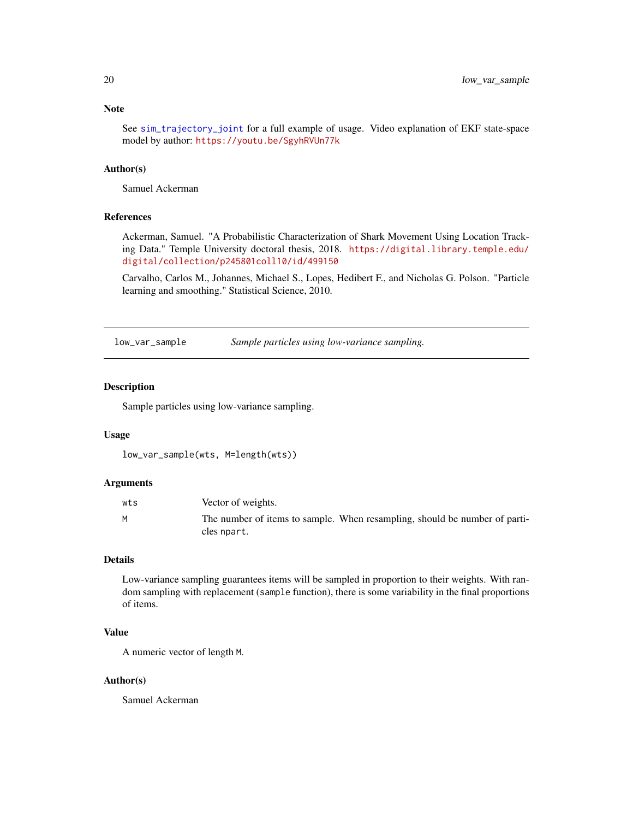## <span id="page-19-0"></span>Note

See [sim\\_trajectory\\_joint](#page-25-1) for a full example of usage. Video explanation of EKF state-space model by author: <https://youtu.be/SgyhRVUn77k>

## Author(s)

Samuel Ackerman

## References

Ackerman, Samuel. "A Probabilistic Characterization of Shark Movement Using Location Tracking Data." Temple University doctoral thesis, 2018. [https://digital.library.temple.edu/](https://digital.library.temple.edu/digital/collection/p245801coll10/id/499150) [digital/collection/p245801coll10/id/499150](https://digital.library.temple.edu/digital/collection/p245801coll10/id/499150)

Carvalho, Carlos M., Johannes, Michael S., Lopes, Hedibert F., and Nicholas G. Polson. "Particle learning and smoothing." Statistical Science, 2010.

low\_var\_sample *Sample particles using low-variance sampling.*

## Description

Sample particles using low-variance sampling.

### Usage

```
low_var_sample(wts, M=length(wts))
```
#### Arguments

| wts | Vector of weights.                                                                        |
|-----|-------------------------------------------------------------------------------------------|
| M   | The number of items to sample. When resampling, should be number of parti-<br>cles npart. |

#### Details

Low-variance sampling guarantees items will be sampled in proportion to their weights. With random sampling with replacement (sample function), there is some variability in the final proportions of items.

## Value

A numeric vector of length M.

## Author(s)

Samuel Ackerman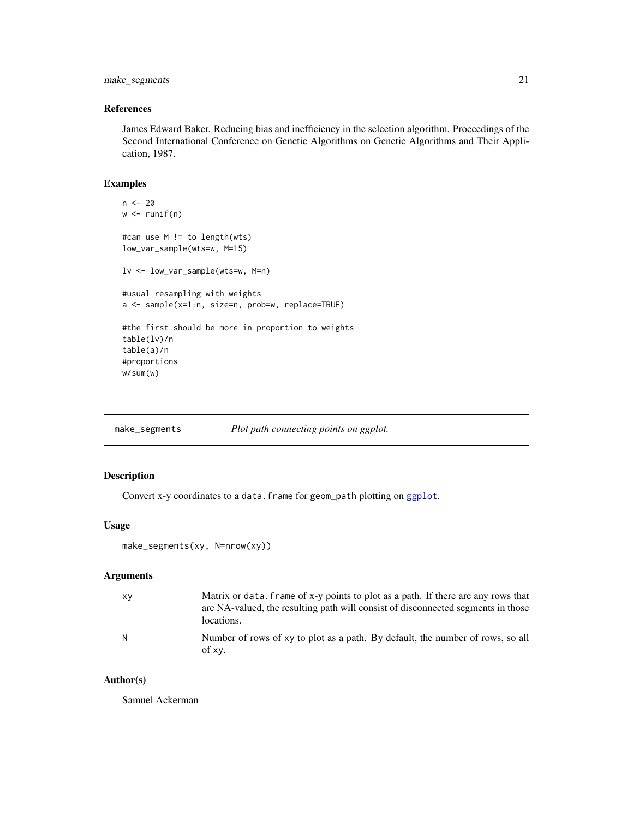## <span id="page-20-0"></span>make\_segments 21

## References

James Edward Baker. Reducing bias and inefficiency in the selection algorithm. Proceedings of the Second International Conference on Genetic Algorithms on Genetic Algorithms and Their Application, 1987.

## Examples

```
n < - 20w \leftarrow runif(n)#can use M != to length(wts)
low_var_sample(wts=w, M=15)
lv <- low_var_sample(wts=w, M=n)
#usual resampling with weights
a <- sample(x=1:n, size=n, prob=w, replace=TRUE)
#the first should be more in proportion to weights
table(lv)/n
table(a)/n
#proportions
w/sum(w)
```
make\_segments *Plot path connecting points on ggplot.*

## Description

Convert x-y coordinates to a data. frame for geom\_path plotting on [ggplot](#page-0-0).

### Usage

```
make_segments(xy, N=nrow(xy))
```
## Arguments

| xγ | Matrix or data, frame of x-y points to plot as a path. If there are any rows that<br>are NA-valued, the resulting path will consist of disconnected segments in those<br>locations. |
|----|-------------------------------------------------------------------------------------------------------------------------------------------------------------------------------------|
| N  | Number of rows of xy to plot as a path. By default, the number of rows, so all<br>of xy.                                                                                            |

## Author(s)

Samuel Ackerman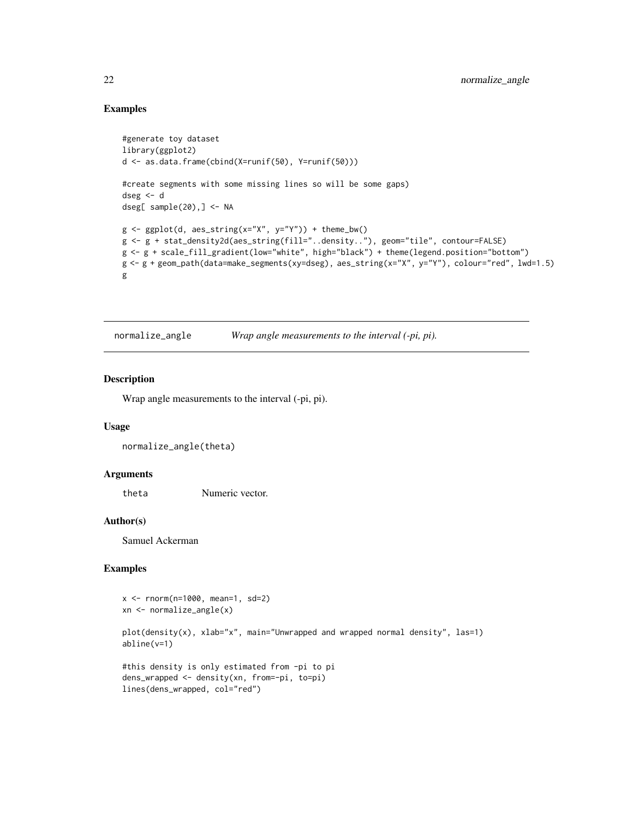## Examples

```
#generate toy dataset
library(ggplot2)
d <- as.data.frame(cbind(X=runif(50), Y=runif(50)))
#create segments with some missing lines so will be some gaps)
dseg <- d
dseg[ sample(20),] <- NA
g <- ggplot(d, aes_string(x="X", y="Y")) + theme_bw()
g <- g + stat_density2d(aes_string(fill="..density.."), geom="tile", contour=FALSE)
g <- g + scale_fill_gradient(low="white", high="black") + theme(legend.position="bottom")
g <- g + geom_path(data=make_segments(xy=dseg), aes_string(x="X", y="Y"), colour="red", lwd=1.5)
g
```
normalize\_angle *Wrap angle measurements to the interval (-pi, pi).*

## Description

Wrap angle measurements to the interval (-pi, pi).

## Usage

```
normalize_angle(theta)
```
#### **Arguments**

theta Numeric vector.

#### Author(s)

Samuel Ackerman

## Examples

```
x <- rnorm(n=1000, mean=1, sd=2)
xn <- normalize_angle(x)
plot(density(x), xlab="x", main="Unwrapped and wrapped normal density", las=1)
abline(v=1)
#this density is only estimated from -pi to pi
dens_wrapped <- density(xn, from=-pi, to=pi)
lines(dens_wrapped, col="red")
```
<span id="page-21-0"></span>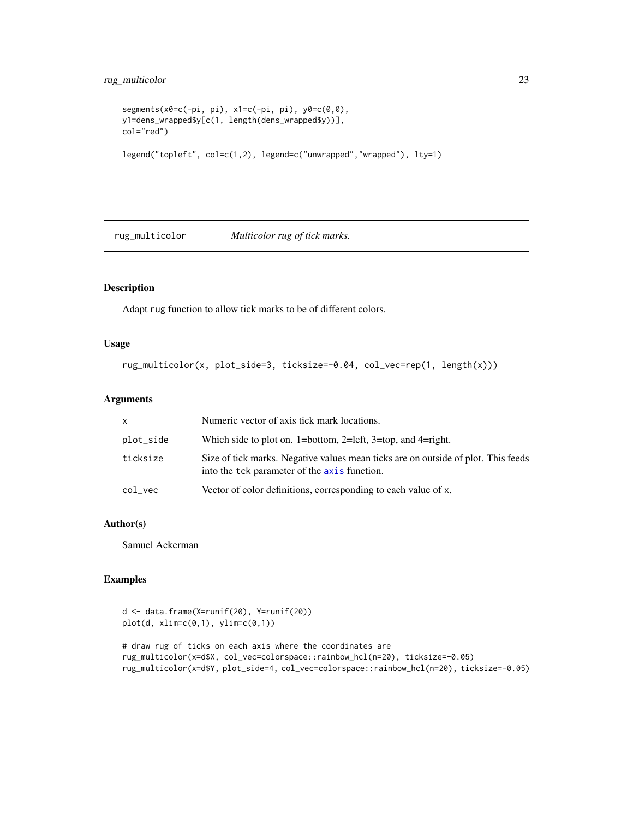```
segments(x0 = c(-pi, pi), x1 = c(-pi, pi), y0 = c(0, 0),
y1=dens_wrapped$y[c(1, length(dens_wrapped$y))],
col="red")
legend("topleft", col=c(1,2), legend=c("unwrapped","wrapped"), lty=1)
```
rug\_multicolor *Multicolor rug of tick marks.*

## Description

Adapt rug function to allow tick marks to be of different colors.

## Usage

```
rug_multicolor(x, plot_side=3, ticksize=-0.04, col_vec=rep(1, length(x)))
```
## Arguments

| <b>X</b>   | Numeric vector of axis tick mark locations.                                                                                       |
|------------|-----------------------------------------------------------------------------------------------------------------------------------|
| plot_side  | Which side to plot on. 1=bottom, 2=left, 3=top, and 4=right.                                                                      |
| ticksize   | Size of tick marks. Negative values mean ticks are on outside of plot. This feeds<br>into the tck parameter of the axis function. |
| $col\_vec$ | Vector of color definitions, corresponding to each value of x.                                                                    |

## Author(s)

Samuel Ackerman

## Examples

```
d <- data.frame(X=runif(20), Y=runif(20))
plot(d, xlim=c(0,1), ylim=c(0,1))# draw rug of ticks on each axis where the coordinates are
rug_multicolor(x=d$X, col_vec=colorspace::rainbow_hcl(n=20), ticksize=-0.05)
rug_multicolor(x=d$Y, plot_side=4, col_vec=colorspace::rainbow_hcl(n=20), ticksize=-0.05)
```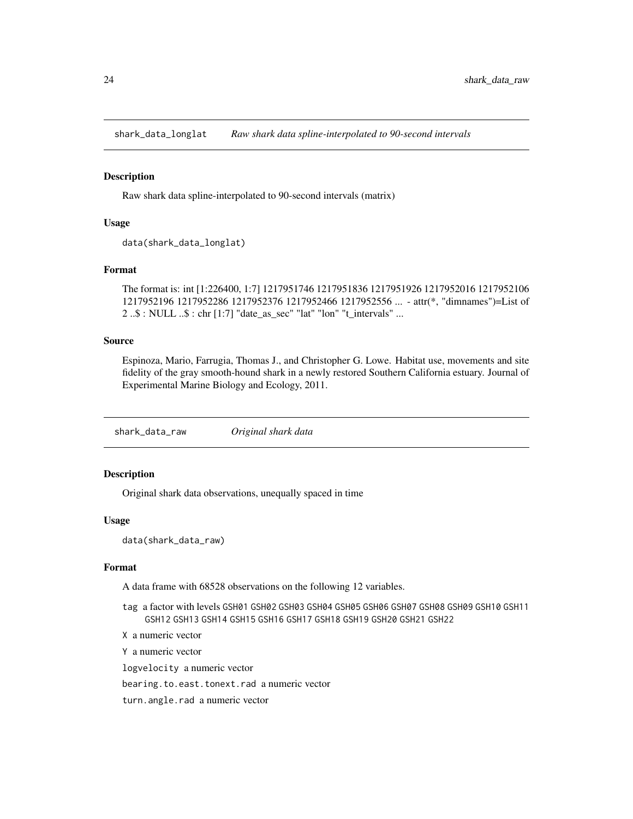<span id="page-23-0"></span>shark\_data\_longlat *Raw shark data spline-interpolated to 90-second intervals*

#### Description

Raw shark data spline-interpolated to 90-second intervals (matrix)

## Usage

```
data(shark_data_longlat)
```
## Format

The format is: int [1:226400, 1:7] 1217951746 1217951836 1217951926 1217952016 1217952106 1217952196 1217952286 1217952376 1217952466 1217952556 ... - attr(\*, "dimnames")=List of 2 ..\$ : NULL ..\$ : chr [1:7] "date\_as\_sec" "lat" "lon" "t\_intervals" ...

#### Source

Espinoza, Mario, Farrugia, Thomas J., and Christopher G. Lowe. Habitat use, movements and site fidelity of the gray smooth-hound shark in a newly restored Southern California estuary. Journal of Experimental Marine Biology and Ecology, 2011.

shark\_data\_raw *Original shark data*

## Description

Original shark data observations, unequally spaced in time

#### Usage

```
data(shark_data_raw)
```
## Format

A data frame with 68528 observations on the following 12 variables.

- tag a factor with levels GSH01 GSH02 GSH03 GSH04 GSH05 GSH06 GSH07 GSH08 GSH09 GSH10 GSH11 GSH12 GSH13 GSH14 GSH15 GSH16 GSH17 GSH18 GSH19 GSH20 GSH21 GSH22
- X a numeric vector

Y a numeric vector

logvelocity a numeric vector

bearing.to.east.tonext.rad a numeric vector

turn.angle.rad a numeric vector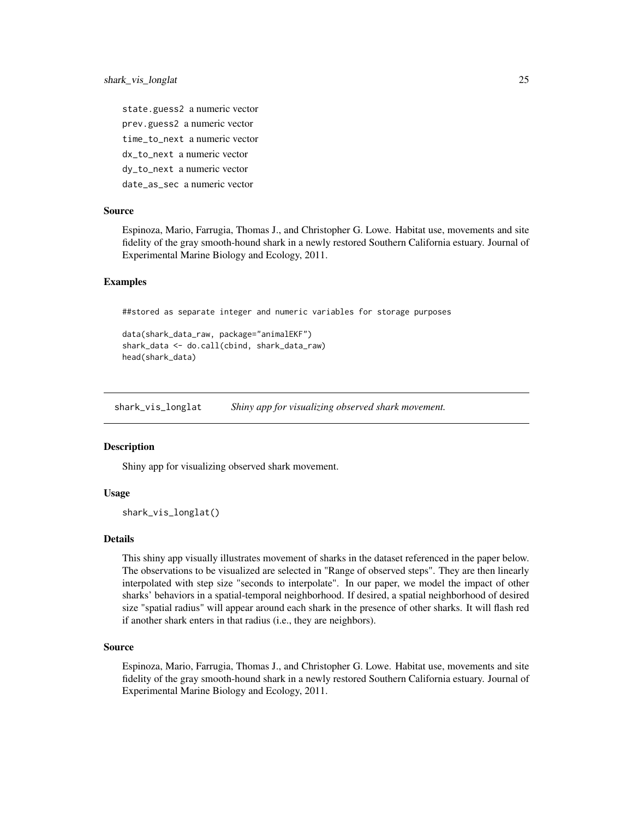<span id="page-24-0"></span>state.guess2 a numeric vector prev.guess2 a numeric vector time\_to\_next a numeric vector dx\_to\_next a numeric vector dy\_to\_next a numeric vector date\_as\_sec a numeric vector

## Source

Espinoza, Mario, Farrugia, Thomas J., and Christopher G. Lowe. Habitat use, movements and site fidelity of the gray smooth-hound shark in a newly restored Southern California estuary. Journal of Experimental Marine Biology and Ecology, 2011.

### Examples

##stored as separate integer and numeric variables for storage purposes

```
data(shark_data_raw, package="animalEKF")
shark_data <- do.call(cbind, shark_data_raw)
head(shark_data)
```
<span id="page-24-1"></span>shark\_vis\_longlat *Shiny app for visualizing observed shark movement.*

#### **Description**

Shiny app for visualizing observed shark movement.

## Usage

shark\_vis\_longlat()

#### Details

This shiny app visually illustrates movement of sharks in the dataset referenced in the paper below. The observations to be visualized are selected in "Range of observed steps". They are then linearly interpolated with step size "seconds to interpolate". In our paper, we model the impact of other sharks' behaviors in a spatial-temporal neighborhood. If desired, a spatial neighborhood of desired size "spatial radius" will appear around each shark in the presence of other sharks. It will flash red if another shark enters in that radius (i.e., they are neighbors).

## Source

Espinoza, Mario, Farrugia, Thomas J., and Christopher G. Lowe. Habitat use, movements and site fidelity of the gray smooth-hound shark in a newly restored Southern California estuary. Journal of Experimental Marine Biology and Ecology, 2011.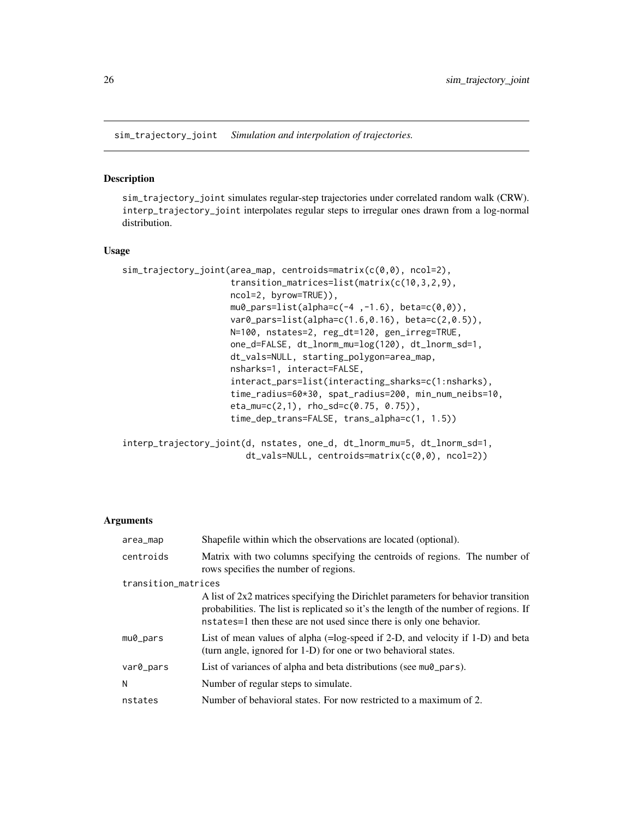<span id="page-25-1"></span><span id="page-25-0"></span>sim\_trajectory\_joint *Simulation and interpolation of trajectories.*

#### Description

sim\_trajectory\_joint simulates regular-step trajectories under correlated random walk (CRW). interp\_trajectory\_joint interpolates regular steps to irregular ones drawn from a log-normal distribution.

## Usage

```
sim_trajectory_joint(area_map, centroids=matrix(c(0,0), ncol=2),
                     transition_matrices=list(matrix(c(10,3,2,9),
                     ncol=2, byrow=TRUE)),
                     mu0_pars=list(alpha=c(-4, -1.6), beta=c(0, 0)),var0_pars=list(alpha=c(1.6,0.16), beta=c(2,0.5)),
                     N=100, nstates=2, reg_dt=120, gen_irreg=TRUE,
                     one_d=FALSE, dt_lnorm_mu=log(120), dt_lnorm_sd=1,
                     dt_vals=NULL, starting_polygon=area_map,
                     nsharks=1, interact=FALSE,
                     interact_pars=list(interacting_sharks=c(1:nsharks),
                     time_radius=60*30, spat_radius=200, min_num_neibs=10,
                     eta_mu=c(2,1), rho_sd=c(0.75, 0.75)),
                     time_dep_trans=FALSE, trans_alpha=c(1, 1.5))
```

```
interp_trajectory_joint(d, nstates, one_d, dt_lnorm_mu=5, dt_lnorm_sd=1,
                       dt_vals=NULL, centroids=matrix(c(0,0), ncol=2))
```
#### **Arguments**

| area_map            | Shapefile within which the observations are located (optional).                                                                                                                                                                                      |  |
|---------------------|------------------------------------------------------------------------------------------------------------------------------------------------------------------------------------------------------------------------------------------------------|--|
| centroids           | Matrix with two columns specifying the centroids of regions. The number of<br>rows specifies the number of regions.                                                                                                                                  |  |
| transition_matrices |                                                                                                                                                                                                                                                      |  |
|                     | A list of 2x2 matrices specifying the Dirichlet parameters for behavior transition<br>probabilities. The list is replicated so it's the length of the number of regions. If<br>nstates = 1 then these are not used since there is only one behavior. |  |
| $mu0$ _pars         | List of mean values of alpha (=log-speed if 2-D, and velocity if 1-D) and beta<br>(turn angle, ignored for 1-D) for one or two behavioral states.                                                                                                    |  |
| var0_pars           | List of variances of alpha and beta distributions (see mu0 pars).                                                                                                                                                                                    |  |
| N                   | Number of regular steps to simulate.                                                                                                                                                                                                                 |  |
| nstates             | Number of behavioral states. For now restricted to a maximum of 2.                                                                                                                                                                                   |  |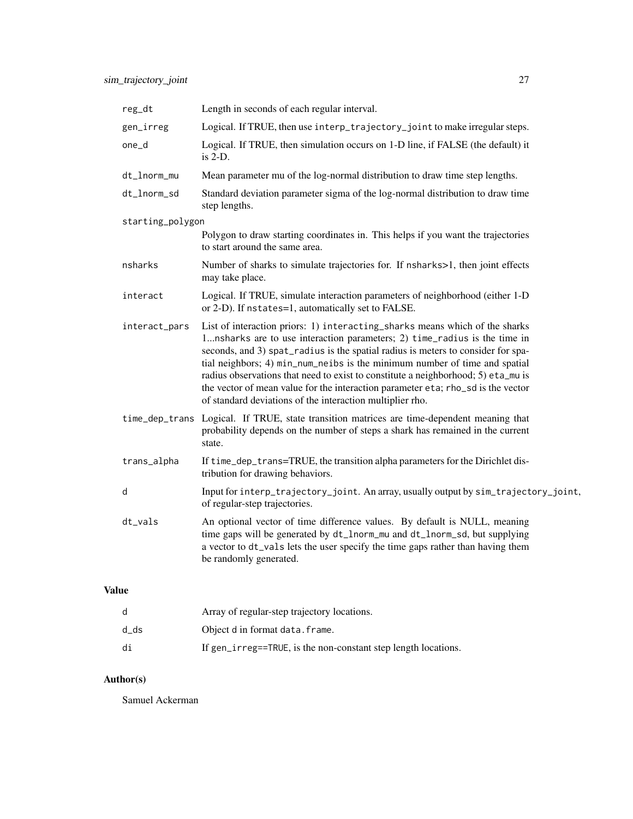| reg_dt           | Length in seconds of each regular interval.                                                                                                                                                                                                                                                                                                                                                                                                                                                                                                                      |
|------------------|------------------------------------------------------------------------------------------------------------------------------------------------------------------------------------------------------------------------------------------------------------------------------------------------------------------------------------------------------------------------------------------------------------------------------------------------------------------------------------------------------------------------------------------------------------------|
| gen_irreg        | Logical. If TRUE, then use interp_trajectory_joint to make irregular steps.                                                                                                                                                                                                                                                                                                                                                                                                                                                                                      |
| one_d            | Logical. If TRUE, then simulation occurs on 1-D line, if FALSE (the default) it<br>is 2-D.                                                                                                                                                                                                                                                                                                                                                                                                                                                                       |
| dt_lnorm_mu      | Mean parameter mu of the log-normal distribution to draw time step lengths.                                                                                                                                                                                                                                                                                                                                                                                                                                                                                      |
| dt_lnorm_sd      | Standard deviation parameter sigma of the log-normal distribution to draw time<br>step lengths.                                                                                                                                                                                                                                                                                                                                                                                                                                                                  |
| starting_polygon |                                                                                                                                                                                                                                                                                                                                                                                                                                                                                                                                                                  |
|                  | Polygon to draw starting coordinates in. This helps if you want the trajectories<br>to start around the same area.                                                                                                                                                                                                                                                                                                                                                                                                                                               |
| nsharks          | Number of sharks to simulate trajectories for. If nsharks>1, then joint effects<br>may take place.                                                                                                                                                                                                                                                                                                                                                                                                                                                               |
| interact         | Logical. If TRUE, simulate interaction parameters of neighborhood (either 1-D<br>or 2-D). If nstates=1, automatically set to FALSE.                                                                                                                                                                                                                                                                                                                                                                                                                              |
| interact_pars    | List of interaction priors: 1) interacting_sharks means which of the sharks<br>1nsharks are to use interaction parameters; 2) time_radius is the time in<br>seconds, and 3) spat_radius is the spatial radius is meters to consider for spa-<br>tial neighbors; 4) min_num_neibs is the minimum number of time and spatial<br>radius observations that need to exist to constitute a neighborhood; 5) eta_mu is<br>the vector of mean value for the interaction parameter eta; rho_sd is the vector<br>of standard deviations of the interaction multiplier rho. |
|                  | time_dep_trans Logical. If TRUE, state transition matrices are time-dependent meaning that<br>probability depends on the number of steps a shark has remained in the current<br>state.                                                                                                                                                                                                                                                                                                                                                                           |
| trans_alpha      | If time_dep_trans=TRUE, the transition alpha parameters for the Dirichlet dis-<br>tribution for drawing behaviors.                                                                                                                                                                                                                                                                                                                                                                                                                                               |
| d                | Input for interp_trajectory_joint. An array, usually output by sim_trajectory_joint,<br>of regular-step trajectories.                                                                                                                                                                                                                                                                                                                                                                                                                                            |
| dt_vals          | An optional vector of time difference values. By default is NULL, meaning<br>time gaps will be generated by dt_lnorm_mu and dt_lnorm_sd, but supplying<br>a vector to dt_vals lets the user specify the time gaps rather than having them<br>be randomly generated.                                                                                                                                                                                                                                                                                              |

# Value

|      | Array of regular-step trajectory locations.                    |
|------|----------------------------------------------------------------|
| d ds | Object d in format data. frame.                                |
| di   | If gen_irreg==TRUE, is the non-constant step length locations. |

# Author(s)

Samuel Ackerman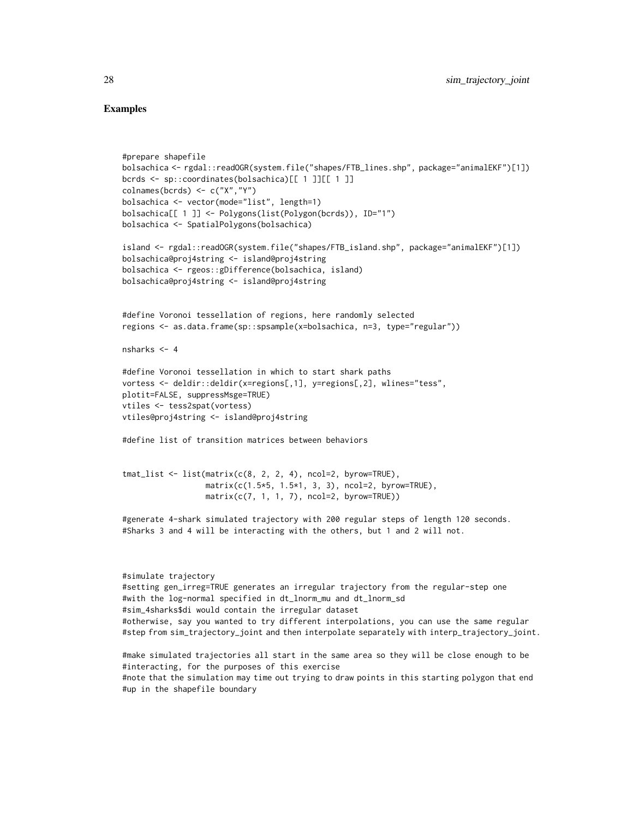## Examples

```
#prepare shapefile
bolsachica <- rgdal::readOGR(system.file("shapes/FTB_lines.shp", package="animalEKF")[1])
bcrds <- sp::coordinates(bolsachica)[[ 1 ]][[ 1 ]]
colnames(bcrds) <- c("X","Y")
bolsachica <- vector(mode="list", length=1)
bolsachica[[ 1 ]] <- Polygons(list(Polygon(bcrds)), ID="1")
bolsachica <- SpatialPolygons(bolsachica)
island <- rgdal::readOGR(system.file("shapes/FTB_island.shp", package="animalEKF")[1])
bolsachica@proj4string <- island@proj4string
bolsachica <- rgeos::gDifference(bolsachica, island)
bolsachica@proj4string <- island@proj4string
#define Voronoi tessellation of regions, here randomly selected
regions <- as.data.frame(sp::spsample(x=bolsachica, n=3, type="regular"))
nsharks <-4#define Voronoi tessellation in which to start shark paths
vortess <- deldir::deldir(x=regions[,1], y=regions[,2], wlines="tess",
plotit=FALSE, suppressMsge=TRUE)
vtiles <- tess2spat(vortess)
vtiles@proj4string <- island@proj4string
#define list of transition matrices between behaviors
tmat_list \leftarrow list(matrix(c(8, 2, 2, 4), ncol=2, byrow=TRUE),
```

```
#generate 4-shark simulated trajectory with 200 regular steps of length 120 seconds.
#Sharks 3 and 4 will be interacting with the others, but 1 and 2 will not.
```
 $matrix(c(7, 1, 1, 7), ncol=2, byrow=True)$ 

matrix(c(1.5\*5, 1.5\*1, 3, 3), ncol=2, byrow=TRUE),

```
#simulate trajectory
#setting gen_irreg=TRUE generates an irregular trajectory from the regular-step one
#with the log-normal specified in dt_lnorm_mu and dt_lnorm_sd
#sim_4sharks$di would contain the irregular dataset
#otherwise, say you wanted to try different interpolations, you can use the same regular
#step from sim_trajectory_joint and then interpolate separately with interp_trajectory_joint.
```
#make simulated trajectories all start in the same area so they will be close enough to be #interacting, for the purposes of this exercise #note that the simulation may time out trying to draw points in this starting polygon that end #up in the shapefile boundary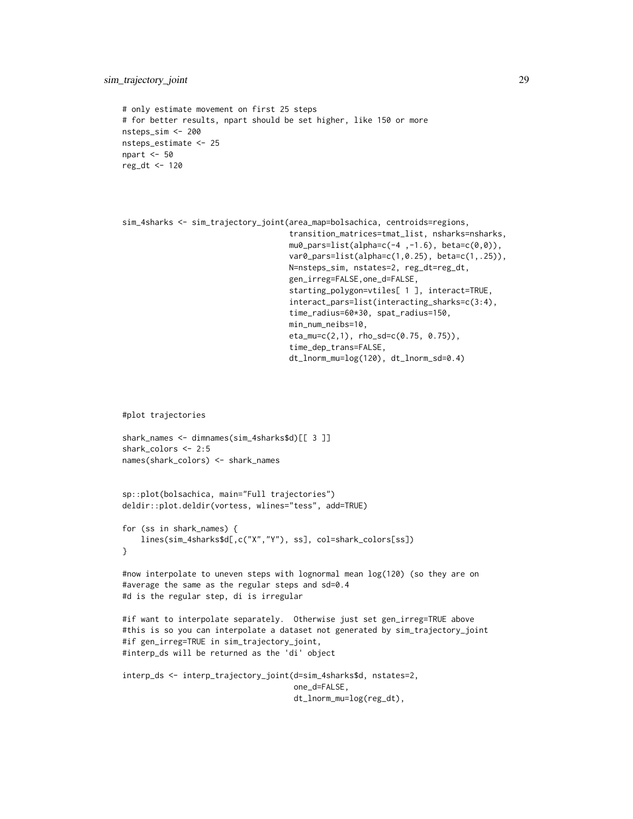```
# only estimate movement on first 25 steps
# for better results, npart should be set higher, like 150 or more
nsteps_sim <- 200
nsteps_estimate <- 25
npart <- 50
reg_dt <- 120
```

```
sim_4sharks <- sim_trajectory_joint(area_map=bolsachica, centroids=regions,
                                    transition_matrices=tmat_list, nsharks=nsharks,
                                    mu0_pars=list(alpha=c(-4, -1.6), beta=c(0, 0)),var0_pars=list(alpha=c(1,0.25), beta=c(1,.25)),
                                    N=nsteps_sim, nstates=2, reg_dt=reg_dt,
                                    gen_irreg=FALSE,one_d=FALSE,
                                    starting_polygon=vtiles[ 1 ], interact=TRUE,
                                    interact_pars=list(interacting_sharks=c(3:4),
                                    time_radius=60*30, spat_radius=150,
                                    min_num_neibs=10,
                                    eta_mu=c(2,1), rho_sd=c(0.75, 0.75)),
                                    time_dep_trans=FALSE,
                                    dt_lnorm_mu=log(120), dt_lnorm_sd=0.4)
```
#plot trajectories

```
shark_names <- dimnames(sim_4sharks$d)[[ 3 ]]
shark_colors <- 2:5
names(shark_colors) <- shark_names
```

```
sp::plot(bolsachica, main="Full trajectories")
deldir::plot.deldir(vortess, wlines="tess", add=TRUE)
```

```
for (ss in shark_names) {
    lines(sim_4sharks$d[,c("X","Y"), ss], col=shark_colors[ss])
}
```

```
#now interpolate to uneven steps with lognormal mean log(120) (so they are on
#average the same as the regular steps and sd=0.4
#d is the regular step, di is irregular
```

```
#if want to interpolate separately. Otherwise just set gen_irreg=TRUE above
#this is so you can interpolate a dataset not generated by sim_trajectory_joint
#if gen_irreg=TRUE in sim_trajectory_joint,
#interp_ds will be returned as the 'di' object
```

```
interp_ds <- interp_trajectory_joint(d=sim_4sharks$d, nstates=2,
                                     one_d=FALSE,
                                     dt_lnorm_mu=log(reg_dt),
```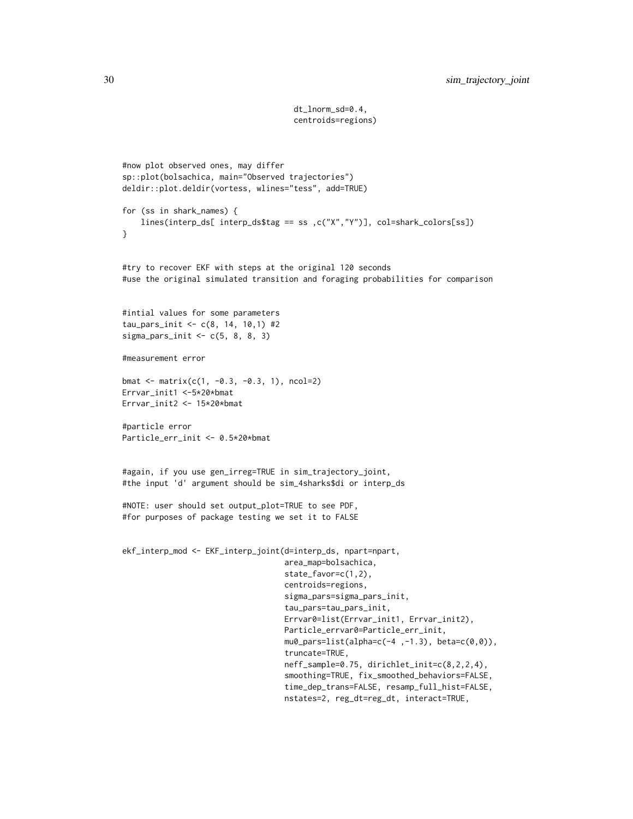dt\_lnorm\_sd=0.4, centroids=regions)

```
#now plot observed ones, may differ
sp::plot(bolsachica, main="Observed trajectories")
deldir::plot.deldir(vortess, wlines="tess", add=TRUE)
for (ss in shark_names) {
    lines(interp_ds[ interp_ds$ test = ss ,c("X","Y")], col=shark_colors[ss])}
#try to recover EKF with steps at the original 120 seconds
#use the original simulated transition and foraging probabilities for comparison
#intial values for some parameters
tau_pars_init <- c(8, 14, 10,1) #2
sigma_pars_init \leq c(5, 8, 8, 3)
#measurement error
bmat <- matrix(c(1, -0.3, -0.3, 1), ncol=2)
Errvar_init1 <-5*20*bmat
Errvar_init2 <- 15*20*bmat
#particle error
Particle_err_init <- 0.5*20*bmat
#again, if you use gen_irreg=TRUE in sim_trajectory_joint,
#the input 'd' argument should be sim_4sharks$di or interp_ds
#NOTE: user should set output_plot=TRUE to see PDF,
#for purposes of package testing we set it to FALSE
ekf_interp_mod <- EKF_interp_joint(d=interp_ds, npart=npart,
                                   area_map=bolsachica,
                                   state_favor=c(1,2),
                                   centroids=regions,
                                   sigma_pars=sigma_pars_init,
                                   tau_pars=tau_pars_init,
                                   Errvar0=list(Errvar_init1, Errvar_init2),
                                   Particle_errvar0=Particle_err_init,
                                   mu0_pars=list(alpha=c(-4 ,-1.3), beta=c(0,0)),
                                   truncate=TRUE,
                                   neff_sample=0.75, dirichlet_init=c(8,2,2,4),
                                   smoothing=TRUE, fix_smoothed_behaviors=FALSE,
                                   time_dep_trans=FALSE, resamp_full_hist=FALSE,
                                   nstates=2, reg_dt=reg_dt, interact=TRUE,
```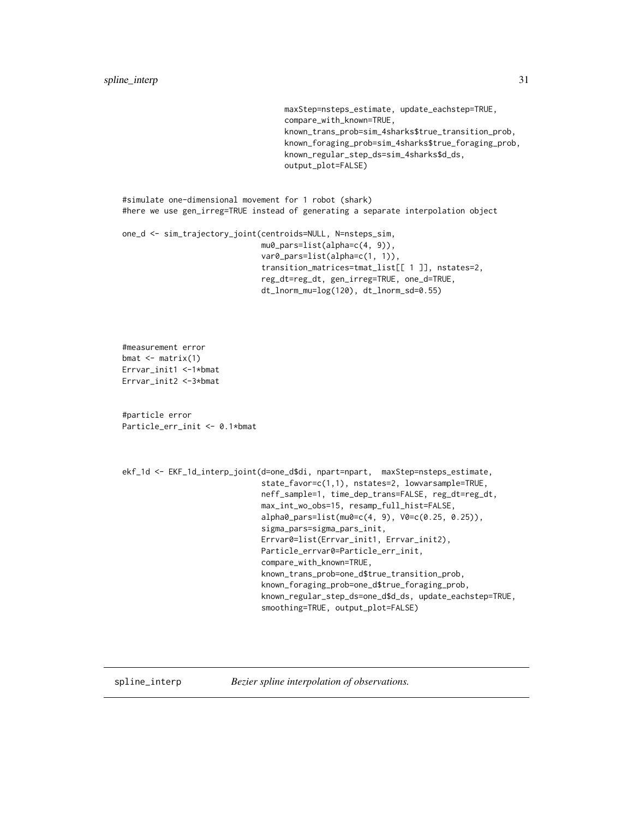maxStep=nsteps\_estimate, update\_eachstep=TRUE, compare\_with\_known=TRUE, known\_trans\_prob=sim\_4sharks\$true\_transition\_prob, known\_foraging\_prob=sim\_4sharks\$true\_foraging\_prob, known\_regular\_step\_ds=sim\_4sharks\$d\_ds, output\_plot=FALSE)

<span id="page-30-0"></span>#simulate one-dimensional movement for 1 robot (shark) #here we use gen\_irreg=TRUE instead of generating a separate interpolation object

```
one_d <- sim_trajectory_joint(centroids=NULL, N=nsteps_sim,
                              mu0_pars=list(alpha=c(4, 9)),
                              var0_pars=list(alpha=c(1, 1)),
                              transition_matrices=tmat_list[[ 1 ]], nstates=2,
                              reg_dt=reg_dt, gen_irreg=TRUE, one_d=TRUE,
                              dt_lnorm_mu=log(120), dt_lnorm_sd=0.55)
```
#measurement error  $b$ mat  $\leftarrow$  matrix(1) Errvar\_init1 <-1\*bmat Errvar\_init2 <-3\*bmat

#particle error Particle\_err\_init <- 0.1\*bmat

```
ekf_1d <- EKF_1d_interp_joint(d=one_d$di, npart=npart, maxStep=nsteps_estimate,
                              state_favor=c(1,1), nstates=2, lowvarsample=TRUE,
                              neff_sample=1, time_dep_trans=FALSE, reg_dt=reg_dt,
                              max_int_wo_obs=15, resamp_full_hist=FALSE,
                              alpha0_pars=list(mu0=c(4, 9), V0=c(0.25, 0.25)),
                              sigma_pars=sigma_pars_init,
                              Errvar0=list(Errvar_init1, Errvar_init2),
                              Particle_errvar0=Particle_err_init,
                              compare_with_known=TRUE,
                              known_trans_prob=one_d$true_transition_prob,
                              known_foraging_prob=one_d$true_foraging_prob,
                              known_regular_step_ds=one_d$d_ds, update_eachstep=TRUE,
                              smoothing=TRUE, output_plot=FALSE)
```
spline\_interp *Bezier spline interpolation of observations.*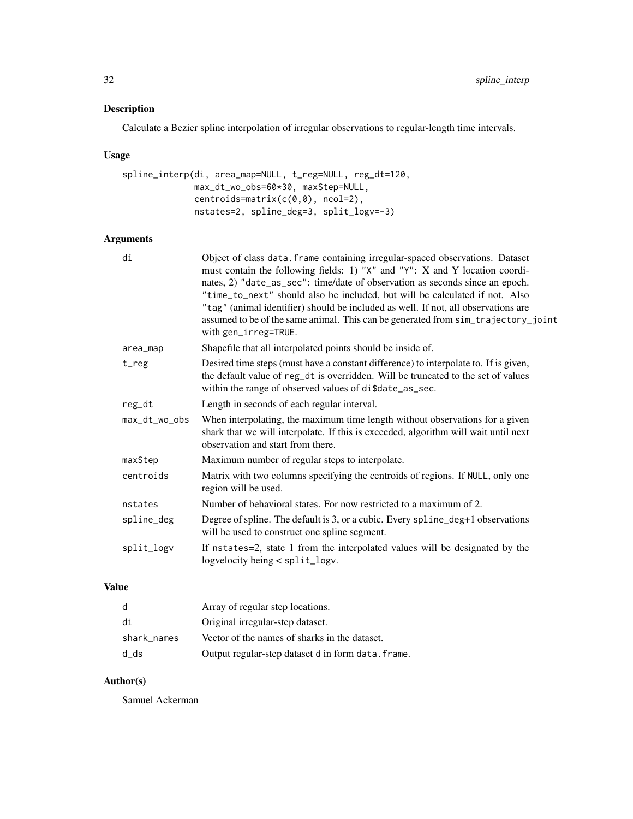## Description

Calculate a Bezier spline interpolation of irregular observations to regular-length time intervals.

## Usage

```
spline_interp(di, area_map=NULL, t_reg=NULL, reg_dt=120,
              max_dt_wo_obs=60*30, maxStep=NULL,
              centroids=matrix(c(0,0), ncol=2),
              nstates=2, spline_deg=3, split_logv=-3)
```
## Arguments

| di            | Object of class data. frame containing irregular-spaced observations. Dataset<br>must contain the following fields: 1) "X" and "Y": X and Y location coordi-<br>nates, 2) "date_as_sec": time/date of observation as seconds since an epoch.<br>"time_to_next" should also be included, but will be calculated if not. Also<br>"tag" (animal identifier) should be included as well. If not, all observations are<br>assumed to be of the same animal. This can be generated from sim_trajectory_joint<br>with gen_irreg=TRUE. |
|---------------|--------------------------------------------------------------------------------------------------------------------------------------------------------------------------------------------------------------------------------------------------------------------------------------------------------------------------------------------------------------------------------------------------------------------------------------------------------------------------------------------------------------------------------|
| area_map      | Shapefile that all interpolated points should be inside of.                                                                                                                                                                                                                                                                                                                                                                                                                                                                    |
| $t_reg$       | Desired time steps (must have a constant difference) to interpolate to. If is given,<br>the default value of reg_dt is overridden. Will be truncated to the set of values<br>within the range of observed values of di\$date_as_sec.                                                                                                                                                                                                                                                                                           |
| reg_dt        | Length in seconds of each regular interval.                                                                                                                                                                                                                                                                                                                                                                                                                                                                                    |
| max_dt_wo_obs | When interpolating, the maximum time length without observations for a given<br>shark that we will interpolate. If this is exceeded, algorithm will wait until next<br>observation and start from there.                                                                                                                                                                                                                                                                                                                       |
| maxStep       | Maximum number of regular steps to interpolate.                                                                                                                                                                                                                                                                                                                                                                                                                                                                                |
| centroids     | Matrix with two columns specifying the centroids of regions. If NULL, only one<br>region will be used.                                                                                                                                                                                                                                                                                                                                                                                                                         |
| nstates       | Number of behavioral states. For now restricted to a maximum of 2.                                                                                                                                                                                                                                                                                                                                                                                                                                                             |
| spline_deg    | Degree of spline. The default is 3, or a cubic. Every spline_deg+1 observations<br>will be used to construct one spline segment.                                                                                                                                                                                                                                                                                                                                                                                               |
| split_logv    | If nstates=2, state 1 from the interpolated values will be designated by the<br>logvelocity being < split_logv.                                                                                                                                                                                                                                                                                                                                                                                                                |

# Value

| -d          | Array of regular step locations.                   |
|-------------|----------------------------------------------------|
| di          | Original irregular-step dataset.                   |
| shark_names | Vector of the names of sharks in the dataset.      |
| d_ds        | Output regular-step dataset d in form data. frame. |

## Author(s)

Samuel Ackerman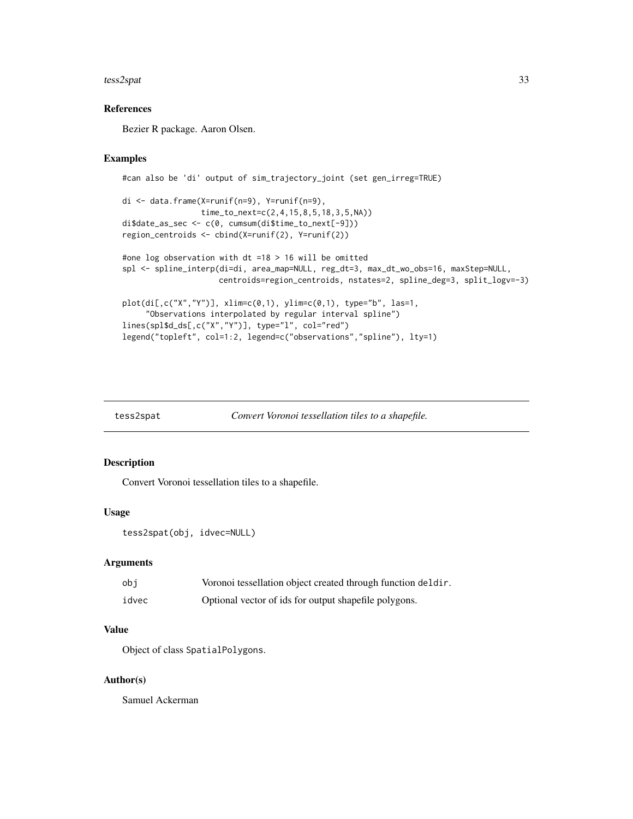#### <span id="page-32-0"></span>tess2spat 33

## References

Bezier R package. Aaron Olsen.

## Examples

```
#can also be 'di' output of sim_trajectory_joint (set gen_irreg=TRUE)
di <- data.frame(X=runif(n=9), Y=runif(n=9),
                time_to_next=c(2,4,15,8,5,18,3,5,NA))
di$date_as_sec <- c(0, cumsum(di$time_to_next[-9]))
region_centroids <- cbind(X=runif(2), Y=runif(2))
#one log observation with dt =18 > 16 will be omitted
spl <- spline_interp(di=di, area_map=NULL, reg_dt=3, max_dt_wo_obs=16, maxStep=NULL,
                    centroids=region_centroids, nstates=2, spline_deg=3, split_logv=-3)
plot(di[,c("X", "Y")], xlim=c(0,1), ylim=c(0,1), type="b", las=1,"Observations interpolated by regular interval spline")
lines(spl$d_ds[,c("X","Y")], type="l", col="red")
legend("topleft", col=1:2, legend=c("observations","spline"), lty=1)
```

| tess2spat | Convert Voronoi tessellation tiles to a shapefile. |
|-----------|----------------------------------------------------|
|           |                                                    |

## Description

Convert Voronoi tessellation tiles to a shapefile.

#### Usage

```
tess2spat(obj, idvec=NULL)
```
## Arguments

| obi   | Voronoi tessellation object created through function deldir. |
|-------|--------------------------------------------------------------|
| idvec | Optional vector of ids for output shapefile polygons.        |

## Value

Object of class SpatialPolygons.

## Author(s)

Samuel Ackerman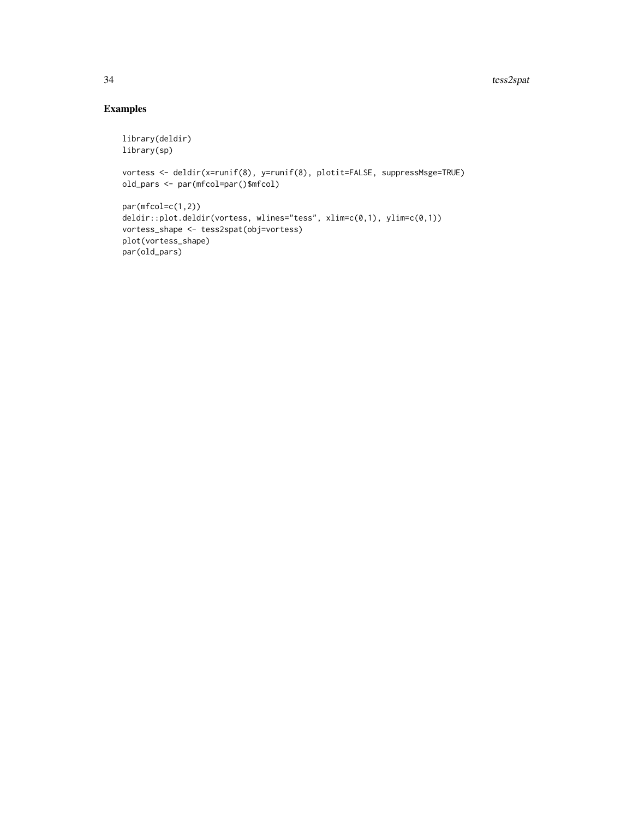# Examples

```
library(deldir)
library(sp)
vortess <- deldir(x=runif(8), y=runif(8), plotit=FALSE, suppressMsge=TRUE)
old_pars <- par(mfcol=par()$mfcol)
par(mfcol=c(1,2))deldir::plot.deldir(vortess, wlines="tess", xlim=c(0,1), ylim=c(0,1))
vortess_shape <- tess2spat(obj=vortess)
plot(vortess_shape)
par(old_pars)
```